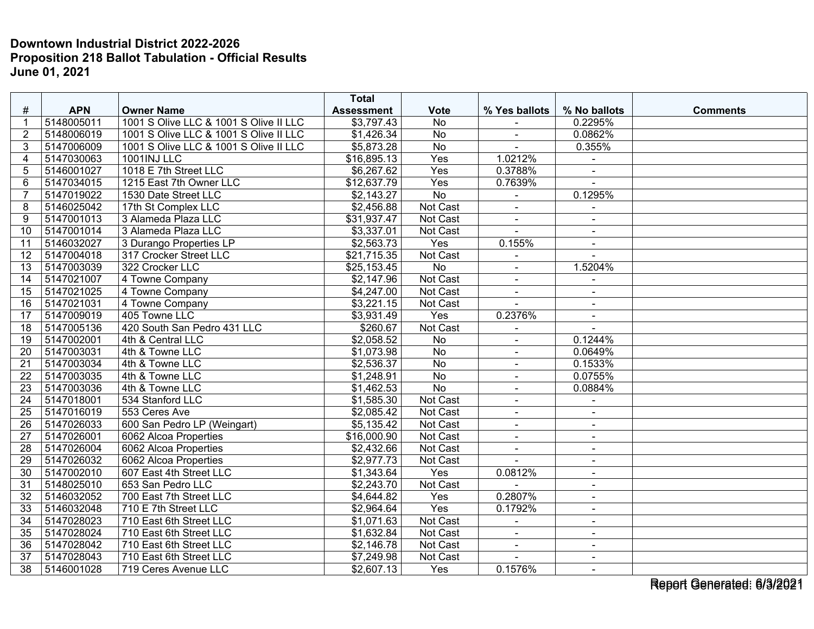|                 |            |                                        | <b>Total</b>            |                 |                |                |                 |
|-----------------|------------|----------------------------------------|-------------------------|-----------------|----------------|----------------|-----------------|
| #               | <b>APN</b> | <b>Owner Name</b>                      | <b>Assessment</b>       | <b>Vote</b>     | % Yes ballots  | % No ballots   | <b>Comments</b> |
| 1               | 5148005011 | 1001 S Olive LLC & 1001 S Olive II LLC | \$3,797.43              | <b>No</b>       |                | 0.2295%        |                 |
| $\overline{2}$  | 5148006019 | 1001 S Olive LLC & 1001 S Olive II LLC | \$1,426.34              | No              | $\blacksquare$ | 0.0862%        |                 |
| 3               | 5147006009 | 1001 S Olive LLC & 1001 S Olive II LLC | $\overline{$5,873.28}$  | $\overline{No}$ | $\blacksquare$ | 0.355%         |                 |
| 4               | 5147030063 | <b>1001INJ LLC</b>                     | \$16,895.13             | Yes             | 1.0212%        |                |                 |
| 5               | 5146001027 | 1018 E 7th Street LLC                  | \$6,267.62              | Yes             | 0.3788%        | $\blacksquare$ |                 |
| 6               | 5147034015 | 1215 East 7th Owner LLC                | \$12,637.79             | Yes             | 0.7639%        |                |                 |
| $\overline{7}$  | 5147019022 | 1530 Date Street LLC                   | \$2,143.27              | <b>No</b>       |                | 0.1295%        |                 |
| 8               | 5146025042 | 17th St Complex LLC                    | \$2,456.88              | Not Cast        | L.             |                |                 |
| 9               | 5147001013 | 3 Alameda Plaza LLC                    | \$31,937.47             | Not Cast        | $\blacksquare$ | $\sim$         |                 |
| 10              | 5147001014 | 3 Alameda Plaza LLC                    | \$3,337.01              | Not Cast        |                | $\sim$         |                 |
| 11              | 5146032027 | 3 Durango Properties LP                | \$2,563.73              | Yes             | 0.155%         | $\blacksquare$ |                 |
| 12              | 5147004018 | 317 Crocker Street LLC                 | \$21,715.35             | Not Cast        |                | $\sim$         |                 |
| 13              | 5147003039 | 322 Crocker LLC                        | \$25,153.45             | $\overline{No}$ | $\blacksquare$ | 1.5204%        |                 |
| 14              | 5147021007 | 4 Towne Company                        | \$2,147.96              | <b>Not Cast</b> | $\blacksquare$ |                |                 |
| 15              | 5147021025 | 4 Towne Company                        | \$4,247.00              | Not Cast        | $\overline{a}$ |                |                 |
| 16              | 5147021031 | 4 Towne Company                        | \$3,221.15              | Not Cast        | $\overline{a}$ | $\sim$         |                 |
| 17              | 5147009019 | 405 Towne LLC                          | $\overline{\$3,931.49}$ | Yes             | 0.2376%        | $\blacksquare$ |                 |
| $\overline{18}$ | 5147005136 | 420 South San Pedro 431 LLC            | \$260.67                | Not Cast        |                |                |                 |
| 19              | 5147002001 | 4th & Central LLC                      | \$2,058.52              | <b>No</b>       | $\blacksquare$ | 0.1244%        |                 |
| 20              | 5147003031 | 4th & Towne LLC                        | \$1,073.98              | <b>No</b>       | $\blacksquare$ | 0.0649%        |                 |
| 21              | 5147003034 | 4th & Towne LLC                        | \$2,536.37              | $\overline{No}$ | $\blacksquare$ | 0.1533%        |                 |
| 22              | 5147003035 | 4th & Towne LLC                        | \$1,248.91              | <b>No</b>       | L.             | 0.0755%        |                 |
| 23              | 5147003036 | 4th & Towne LLC                        | \$1,462.53              | $\overline{No}$ | $\sim$         | 0.0884%        |                 |
| 24              | 5147018001 | 534 Stanford LLC                       | \$1,585.30              | <b>Not Cast</b> | $\blacksquare$ | $\blacksquare$ |                 |
| 25              | 5147016019 | 553 Ceres Ave                          | \$2,085.42              | Not Cast        | $\blacksquare$ | $\blacksquare$ |                 |
| 26              | 5147026033 | 600 San Pedro LP (Weingart)            | \$5,135.42              | Not Cast        | $\blacksquare$ | $\blacksquare$ |                 |
| 27              | 5147026001 | 6062 Alcoa Properties                  | \$16,000.90             | Not Cast        | $\blacksquare$ | $\blacksquare$ |                 |
| 28              | 5147026004 | 6062 Alcoa Properties                  | \$2,432.66              | Not Cast        | $\blacksquare$ | $\blacksquare$ |                 |
| 29              | 5147026032 | 6062 Alcoa Properties                  | \$2,977.73              | Not Cast        |                |                |                 |
| 30              | 5147002010 | 607 East 4th Street LLC                | \$1,343.64              | Yes             | 0.0812%        | $\sim$         |                 |
| 31              | 5148025010 | 653 San Pedro LLC                      | \$2,243.70              | Not Cast        |                | $\sim$         |                 |
| 32              | 5146032052 | 700 East 7th Street LLC                | \$4,644.82              | Yes             | 0.2807%        | $\blacksquare$ |                 |
| 33              | 5146032048 | 710 E 7th Street LLC                   | \$2,964.64              | Yes             | 0.1792%        | $\blacksquare$ |                 |
| 34              | 5147028023 | 710 East 6th Street LLC                | \$1,071.63              | Not Cast        | $\blacksquare$ | $\sim$         |                 |
| 35              | 5147028024 | 710 East 6th Street LLC                | \$1,632.84              | Not Cast        |                | $\blacksquare$ |                 |
| $\overline{36}$ | 5147028042 | 710 East 6th Street LLC                | \$2,146.78              | Not Cast        | $\overline{a}$ |                |                 |
| 37              | 5147028043 | 710 East 6th Street LLC                | \$7,249.98              | Not Cast        | $\blacksquare$ | $\blacksquare$ |                 |
| 38              | 5146001028 | 719 Ceres Avenue LLC                   | \$2,607.13              | Yes             | 0.1576%        | $\sim$         |                 |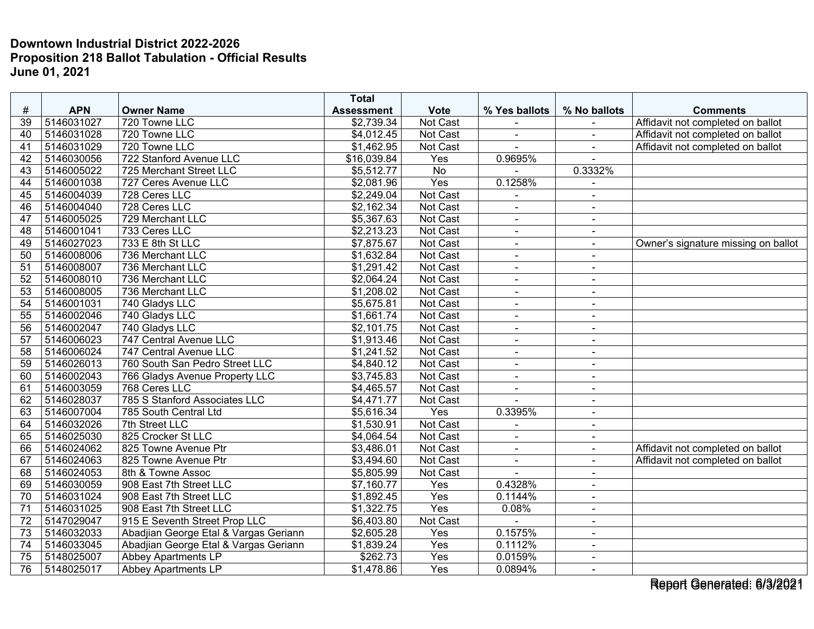|                 |            |                                       | <b>Total</b>      |                 |                |                |                                     |
|-----------------|------------|---------------------------------------|-------------------|-----------------|----------------|----------------|-------------------------------------|
| $\#$            | <b>APN</b> | <b>Owner Name</b>                     | <b>Assessment</b> | <b>Vote</b>     | % Yes ballots  | % No ballots   | <b>Comments</b>                     |
| 39              | 5146031027 | 720 Towne LLC                         | \$2,739.34        | Not Cast        |                |                | Affidavit not completed on ballot   |
| 40              | 5146031028 | 720 Towne LLC                         | \$4,012.45        | <b>Not Cast</b> | $\blacksquare$ | $\mathbf{r}$   | Affidavit not completed on ballot   |
| 41              | 5146031029 | 720 Towne LLC                         | \$1,462.95        | Not Cast        |                |                | Affidavit not completed on ballot   |
| 42              | 5146030056 | 722 Stanford Avenue LLC               | \$16,039.84       | Yes             | 0.9695%        |                |                                     |
| 43              | 5146005022 | 725 Merchant Street LLC               | \$5,512.77        | <b>No</b>       |                | 0.3332%        |                                     |
| 44              | 5146001038 | 727 Ceres Avenue LLC                  | \$2,081.96        | Yes             | 0.1258%        |                |                                     |
| 45              | 5146004039 | 728 Ceres LLC                         | \$2,249.04        | Not Cast        |                | $\blacksquare$ |                                     |
| 46              | 5146004040 | 728 Ceres LLC                         | \$2,162.34        | <b>Not Cast</b> |                |                |                                     |
| 47              | 5146005025 | 729 Merchant LLC                      | \$5,367.63        | Not Cast        | $\blacksquare$ | $\sim$         |                                     |
| 48              | 5146001041 | 733 Ceres LLC                         | \$2,213.23        | Not Cast        | $\blacksquare$ | $\blacksquare$ |                                     |
| 49              | 5146027023 | 733 E 8th St LLC                      | \$7,875.67        | Not Cast        | $\blacksquare$ | $\blacksquare$ | Owner's signature missing on ballot |
| 50              | 5146008006 | 736 Merchant LLC                      | \$1,632.84        | Not Cast        | $\blacksquare$ | $\blacksquare$ |                                     |
| 51              | 5146008007 | 736 Merchant LLC                      | \$1,291.42        | Not Cast        | $\blacksquare$ | $\sim$         |                                     |
| 52              | 5146008010 | 736 Merchant LLC                      | \$2,064.24        | <b>Not Cast</b> | $\blacksquare$ | $\blacksquare$ |                                     |
| $\overline{53}$ | 5146008005 | 736 Merchant LLC                      | \$1,208.02        | Not Cast        |                | $\blacksquare$ |                                     |
| 54              | 5146001031 | 740 Gladys LLC                        | \$5,675.81        | Not Cast        | $\blacksquare$ | $\blacksquare$ |                                     |
| 55              | 5146002046 | 740 Gladys LLC                        | \$1,661.74        | <b>Not Cast</b> | $\blacksquare$ | $\blacksquare$ |                                     |
| $\overline{56}$ | 5146002047 | 740 Gladys LLC                        | \$2,101.75        | Not Cast        | $\blacksquare$ | $\blacksquare$ |                                     |
| 57              | 5146006023 | 747 Central Avenue LLC                | \$1,913.46        | Not Cast        | ä,             | $\blacksquare$ |                                     |
| 58              | 5146006024 | 747 Central Avenue LLC                | \$1,241.52        | Not Cast        | $\blacksquare$ | $\sim$         |                                     |
| $\overline{59}$ | 5146026013 | 760 South San Pedro Street LLC        | \$4,840.12        | Not Cast        | $\sim$         | $\blacksquare$ |                                     |
| 60              | 5146002043 | 766 Gladys Avenue Property LLC        | \$3,745.83        | Not Cast        | $\blacksquare$ | $\blacksquare$ |                                     |
| 61              | 5146003059 | 768 Ceres LLC                         | \$4,465.57        | <b>Not Cast</b> | $\overline{a}$ | $\blacksquare$ |                                     |
| 62              | 5146028037 | 785 S Stanford Associates LLC         | \$4,471.77        | Not Cast        | $\overline{a}$ | $\blacksquare$ |                                     |
| 63              | 5146007004 | 785 South Central Ltd                 | \$5,616.34        | Yes             | 0.3395%        | $\blacksquare$ |                                     |
| 64              | 5146032026 | 7th Street LLC                        | \$1,530.91        | <b>Not Cast</b> |                | $\blacksquare$ |                                     |
| 65              | 5146025030 | 825 Crocker St LLC                    | \$4,064.54        | Not Cast        | $\blacksquare$ | $\blacksquare$ |                                     |
| 66              | 5146024062 | 825 Towne Avenue Ptr                  | \$3,486.01        | Not Cast        | $\overline{a}$ | $\blacksquare$ | Affidavit not completed on ballot   |
| 67              | 5146024063 | 825 Towne Avenue Ptr                  | \$3,494.60        | Not Cast        | $\blacksquare$ |                | Affidavit not completed on ballot   |
| 68              | 5146024053 | 8th & Towne Assoc                     | \$5,805.99        | Not Cast        | $\overline{a}$ | $\sim$         |                                     |
| 69              | 5146030059 | 908 East 7th Street LLC               | \$7,160.77        | Yes             | 0.4328%        | $\blacksquare$ |                                     |
| 70              | 5146031024 | 908 East 7th Street LLC               | \$1,892.45        | Yes             | 0.1144%        | $\blacksquare$ |                                     |
| 71              | 5146031025 | 908 East 7th Street LLC               | \$1,322.75        | Yes             | 0.08%          | $\blacksquare$ |                                     |
| 72              | 5147029047 | 915 E Seventh Street Prop LLC         | \$6,403.80        | Not Cast        | $\blacksquare$ | $\blacksquare$ |                                     |
| 73              | 5146032033 | Abadjian George Etal & Vargas Geriann | \$2,605.28        | Yes             | 0.1575%        | $\blacksquare$ |                                     |
| 74              | 5146033045 | Abadjian George Etal & Vargas Geriann | \$1,839.24        | Yes             | 0.1112%        | $\blacksquare$ |                                     |
| 75              | 5148025007 | Abbey Apartments LP                   | \$262.73          | Yes             | 0.0159%        | $\blacksquare$ |                                     |
| 76              | 5148025017 | <b>Abbey Apartments LP</b>            | \$1,478.86        | Yes             | 0.0894%        | $\sim$         |                                     |

Report Generated: 6/3/2021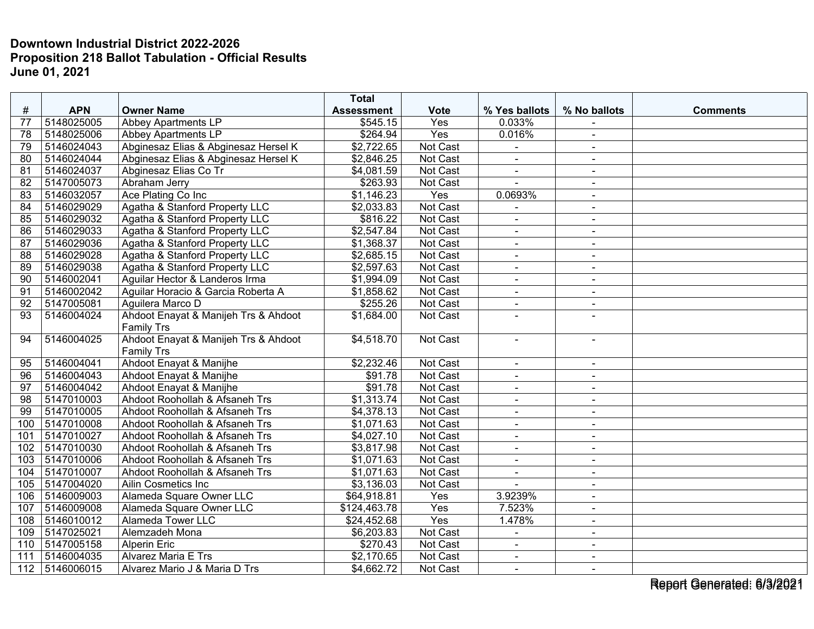|                 |            |                                      | <b>Total</b>      |             |                              |                |                 |
|-----------------|------------|--------------------------------------|-------------------|-------------|------------------------------|----------------|-----------------|
| $\#$            | <b>APN</b> | <b>Owner Name</b>                    | <b>Assessment</b> | <b>Vote</b> | % Yes ballots                | % No ballots   | <b>Comments</b> |
| 77              | 5148025005 | Abbey Apartments LP                  | \$545.15          | Yes         | 0.033%                       |                |                 |
| 78              | 5148025006 | <b>Abbey Apartments LP</b>           | \$264.94          | Yes         | 0.016%                       | $\sim$         |                 |
| 79              | 5146024043 | Abginesaz Elias & Abginesaz Hersel K | \$2,722.65        | Not Cast    | $\blacksquare$               | $\sim$         |                 |
| 80              | 5146024044 | Abginesaz Elias & Abginesaz Hersel K | \$2,846.25        | Not Cast    |                              |                |                 |
| 81              | 5146024037 | Abginesaz Elias Co Tr                | \$4,081.59        | Not Cast    | $\blacksquare$               | $\sim$         |                 |
| $\overline{82}$ | 5147005073 | Abraham Jerry                        | \$263.93          | Not Cast    |                              | $\sim$         |                 |
| 83              | 5146032057 | Ace Plating Co Inc                   | \$1,146.23        | Yes         | 0.0693%                      | $\sim$         |                 |
| 84              | 5146029029 | Agatha & Stanford Property LLC       | \$2,033.83        | Not Cast    |                              | $\blacksquare$ |                 |
| 85              | 5146029032 | Agatha & Stanford Property LLC       | \$816.22          | Not Cast    | $\blacksquare$               | $\sim$         |                 |
| 86              | 5146029033 | Agatha & Stanford Property LLC       | \$2,547.84        | Not Cast    | $\blacksquare$               | $\sim$         |                 |
| 87              | 5146029036 | Agatha & Stanford Property LLC       | \$1,368.37        | Not Cast    | $\blacksquare$               | $\sim$         |                 |
| 88              | 5146029028 | Agatha & Stanford Property LLC       | \$2,685.15        | Not Cast    | $\blacksquare$               | $\sim$         |                 |
| 89              | 5146029038 | Agatha & Stanford Property LLC       | \$2,597.63        | Not Cast    | $\blacksquare$               | $\blacksquare$ |                 |
| 90              | 5146002041 | Aguilar Hector & Landeros Irma       | \$1,994.09        | Not Cast    | $\blacksquare$               | $\sim$         |                 |
| 91              | 5146002042 | Aguilar Horacio & Garcia Roberta A   | \$1,858.62        | Not Cast    |                              |                |                 |
| 92              | 5147005081 | Aguilera Marco D                     | \$255.26          | Not Cast    | $\blacksquare$               | $\sim$         |                 |
| 93              | 5146004024 | Ahdoot Enayat & Manijeh Trs & Ahdoot | \$1,684.00        | Not Cast    | ÷,                           |                |                 |
|                 |            | <b>Family Trs</b>                    |                   |             |                              |                |                 |
| 94              | 5146004025 | Ahdoot Enayat & Manijeh Trs & Ahdoot | \$4,518.70        | Not Cast    | $\blacksquare$               | $\sim$         |                 |
|                 |            | <b>Family Trs</b>                    |                   |             |                              |                |                 |
| 95              | 5146004041 | Ahdoot Enayat & Manijhe              | \$2,232.46        | Not Cast    | $\blacksquare$               | $\sim$         |                 |
| 96              | 5146004043 | Ahdoot Enayat & Manijhe              | \$91.78           | Not Cast    |                              |                |                 |
| 97              | 5146004042 | Ahdoot Enayat & Manijhe              | \$91.78           | Not Cast    | $\blacksquare$               | $\blacksquare$ |                 |
| 98              | 5147010003 | Ahdoot Roohollah & Afsaneh Trs       | \$1,313.74        | Not Cast    | $\qquad \qquad \blacksquare$ | $\sim$         |                 |
| $\overline{99}$ | 5147010005 | Ahdoot Roohollah & Afsaneh Trs       | \$4,378.13        | Not Cast    | $\blacksquare$               | $\sim$         |                 |
| 100             | 5147010008 | Ahdoot Roohollah & Afsaneh Trs       | \$1,071.63        | Not Cast    | $\blacksquare$               | $\blacksquare$ |                 |
| 101             | 5147010027 | Ahdoot Roohollah & Afsaneh Trs       | \$4,027.10        | Not Cast    | $\blacksquare$               | $\sim$         |                 |
| 102             | 5147010030 | Ahdoot Roohollah & Afsaneh Trs       | \$3,817.98        | Not Cast    | $\blacksquare$               | $\sim$         |                 |
| 103             | 5147010006 | Ahdoot Roohollah & Afsaneh Trs       | \$1,071.63        | Not Cast    |                              |                |                 |
| 104             | 5147010007 | Ahdoot Roohollah & Afsaneh Trs       | \$1,071.63        | Not Cast    | $\blacksquare$               | $\blacksquare$ |                 |
| 105             | 5147004020 | Ailin Cosmetics Inc                  | \$3,136.03        | Not Cast    | $\overline{a}$               | $\sim$         |                 |
| 106             | 5146009003 | Alameda Square Owner LLC             | \$64,918.81       | Yes         | 3.9239%                      | $\blacksquare$ |                 |
| 107             | 5146009008 | Alameda Square Owner LLC             | \$124,463.78      | Yes         | 7.523%                       | $\blacksquare$ |                 |
| 108             | 5146010012 | <b>Alameda Tower LLC</b>             | \$24,452.68       | Yes         | 1.478%                       | $\blacksquare$ |                 |
| 109             | 5147025021 | Alemzadeh Mona                       | \$6,203.83        | Not Cast    | $\blacksquare$               | $\sim$         |                 |
| 110             | 5147005158 | Alperin Eric                         | \$270.43          | Not Cast    | ÷,                           | $\blacksquare$ |                 |
| 111             | 5146004035 | <b>Alvarez Maria E Trs</b>           | \$2,170.65        | Not Cast    | $\blacksquare$               | $\sim$         |                 |
| 112             | 5146006015 | Alvarez Mario J & Maria D Trs        | \$4,662.72        | Not Cast    | $\blacksquare$               | $\sim$         |                 |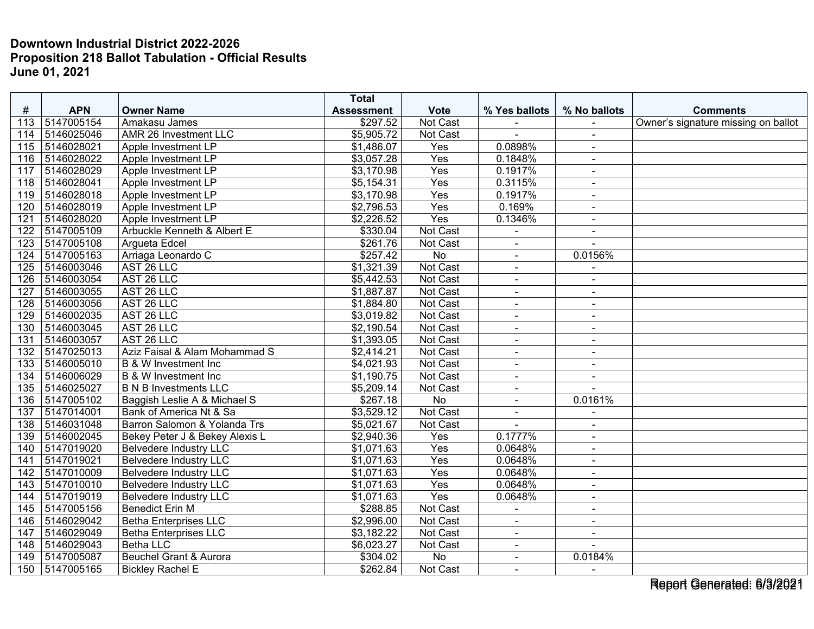|                  |                |                                   | <b>Total</b>      |                 |                |                |                                     |
|------------------|----------------|-----------------------------------|-------------------|-----------------|----------------|----------------|-------------------------------------|
| $\#$             | <b>APN</b>     | <b>Owner Name</b>                 | <b>Assessment</b> | <b>Vote</b>     | % Yes ballots  | % No ballots   | <b>Comments</b>                     |
| 113              | 5147005154     | Amakasu James                     | \$297.52          | Not Cast        |                |                | Owner's signature missing on ballot |
| 114              | 5146025046     | AMR 26 Investment LLC             | \$5,905.72        | Not Cast        | $\blacksquare$ | $\sim$         |                                     |
| 115              | 5146028021     | Apple Investment LP               | \$1,486.07        | Yes             | 0.0898%        | $\blacksquare$ |                                     |
| 116              | 5146028022     | Apple Investment LP               | \$3,057.28        | Yes             | 0.1848%        | $\blacksquare$ |                                     |
| 117              | 5146028029     | Apple Investment LP               | \$3,170.98        | Yes             | 0.1917%        | $\sim$         |                                     |
| 118              | 5146028041     | Apple Investment LP               | \$5,154.31        | Yes             | 0.3115%        | $\blacksquare$ |                                     |
| 119              | 5146028018     | Apple Investment LP               | \$3,170.98        | Yes             | 0.1917%        | $\blacksquare$ |                                     |
| 120              | 5146028019     | Apple Investment LP               | \$2,796.53        | Yes             | 0.169%         | $\blacksquare$ |                                     |
| 121              | 5146028020     | Apple Investment LP               | \$2,226.52        | Yes             | 0.1346%        | $\sim$         |                                     |
| 122              | 5147005109     | Arbuckle Kenneth & Albert E       | \$330.04          | Not Cast        |                | $\blacksquare$ |                                     |
| 123              | 5147005108     | Arqueta Edcel                     | \$261.76          | Not Cast        | $\overline{a}$ |                |                                     |
| 124              | 5147005163     | Arriaga Leonardo C                | \$257.42          | No              | $\blacksquare$ | 0.0156%        |                                     |
| 125              | 5146003046     | AST 26 LLC                        | \$1,321.39        | Not Cast        | $\blacksquare$ | $\sim$         |                                     |
| 126              | 5146003054     | AST 26 LLC                        | \$5,442.53        | Not Cast        | ä,             | $\blacksquare$ |                                     |
| 127              | 5146003055     | AST 26 LLC                        | \$1,887.87        | Not Cast        | $\blacksquare$ | $\blacksquare$ |                                     |
| 128              | 5146003056     | AST 26 LLC                        | \$1,884.80        | Not Cast        | $\blacksquare$ | $\blacksquare$ |                                     |
| 129              | 5146002035     | AST 26 LLC                        | \$3,019.82        | Not Cast        | $\blacksquare$ | $\blacksquare$ |                                     |
| 130              | 5146003045     | AST 26 LLC                        | \$2,190.54        | Not Cast        | $\blacksquare$ | $\blacksquare$ |                                     |
| 131              | 5146003057     | AST 26 LLC                        | \$1,393.05        | Not Cast        | $\blacksquare$ | $\sim$         |                                     |
| 132              | 5147025013     | Aziz Faisal & Alam Mohammad S     | \$2,414.21        | Not Cast        | $\overline{a}$ | $\blacksquare$ |                                     |
| $\overline{133}$ | 5146005010     | B & W Investment Inc              | \$4,021.93        | Not Cast        | $\blacksquare$ | $\sim$         |                                     |
| 134              | 5146006029     | <b>B &amp; W Investment Inc</b>   | \$1,190.75        | Not Cast        | $\blacksquare$ | $\blacksquare$ |                                     |
| 135              | 5146025027     | <b>B N B Investments LLC</b>      | \$5,209.14        | Not Cast        | $\sim$         | $\overline{a}$ |                                     |
| 136              | 5147005102     | Baggish Leslie A & Michael S      | \$267.18          | $\overline{No}$ | $\blacksquare$ | 0.0161%        |                                     |
| 137              | 5147014001     | Bank of America Nt & Sa           | \$3,529.12        | Not Cast        | $\blacksquare$ |                |                                     |
| 138              | 5146031048     | Barron Salomon & Yolanda Trs      | \$5,021.67        | Not Cast        | $\blacksquare$ | $\blacksquare$ |                                     |
| 139              | 5146002045     | Bekey Peter J & Bekey Alexis L    | \$2,940.36        | Yes             | 0.1777%        | $\sim$         |                                     |
| 140              | 5147019020     | <b>Belvedere Industry LLC</b>     | \$1,071.63        | Yes             | 0.0648%        | $\sim$         |                                     |
| 141              | 5147019021     | <b>Belvedere Industry LLC</b>     | \$1,071.63        | Yes             | 0.0648%        | $\sim$         |                                     |
| 142              | 5147010009     | <b>Belvedere Industry LLC</b>     | \$1,071.63        | Yes             | 0.0648%        | $\blacksquare$ |                                     |
| 143              | 5147010010     | <b>Belvedere Industry LLC</b>     | \$1,071.63        | Yes             | 0.0648%        | $\sim$         |                                     |
| 144              | 5147019019     | <b>Belvedere Industry LLC</b>     | \$1,071.63        | Yes             | 0.0648%        | $\blacksquare$ |                                     |
| 145              | 5147005156     | <b>Benedict Erin M</b>            | \$288.85          | Not Cast        | $\blacksquare$ | $\blacksquare$ |                                     |
| 146              | 5146029042     | <b>Betha Enterprises LLC</b>      | \$2,996.00        | Not Cast        | ä,             | $\sim$         |                                     |
| 147              | 5146029049     | <b>Betha Enterprises LLC</b>      | \$3,182.22        | Not Cast        | $\blacksquare$ | $\blacksquare$ |                                     |
| 148              | 5146029043     | <b>Betha LLC</b>                  | \$6,023.27        | Not Cast        | $\blacksquare$ | $\blacksquare$ |                                     |
| 149              | 5147005087     | <b>Beuchel Grant &amp; Aurora</b> | \$304.02          | No              | $\sim$         | 0.0184%        |                                     |
|                  | 150 5147005165 | <b>Bickley Rachel E</b>           | \$262.84          | Not Cast        | $\blacksquare$ | $\blacksquare$ |                                     |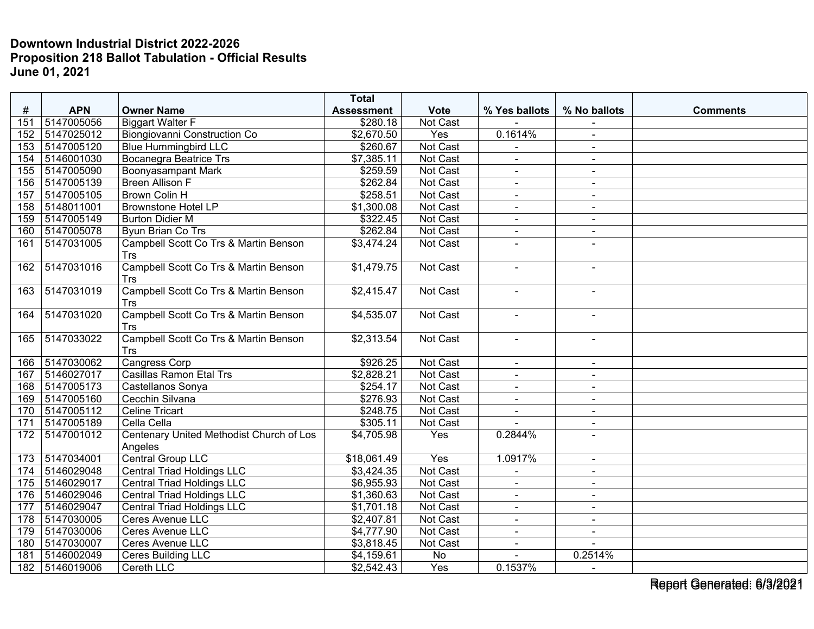|     |                |                                          | <b>Total</b>      |                 |                |                          |                 |
|-----|----------------|------------------------------------------|-------------------|-----------------|----------------|--------------------------|-----------------|
| #   | <b>APN</b>     | <b>Owner Name</b>                        | <b>Assessment</b> | <b>Vote</b>     | % Yes ballots  | % No ballots             | <b>Comments</b> |
| 151 | 5147005056     | <b>Biggart Walter F</b>                  | \$280.18          | Not Cast        |                |                          |                 |
| 152 | 5147025012     | Biongiovanni Construction Co             | \$2,670.50        | Yes             | 0.1614%        | $\sim$                   |                 |
| 153 | 5147005120     | <b>Blue Hummingbird LLC</b>              | \$260.67          | Not Cast        |                | $\blacksquare$           |                 |
| 154 | 5146001030     | <b>Bocanegra Beatrice Trs</b>            | \$7,385.11        | Not Cast        | ä,             | $\blacksquare$           |                 |
| 155 | 5147005090     | <b>Boonyasampant Mark</b>                | \$259.59          | Not Cast        | $\sim$         | $\sim$                   |                 |
| 156 | 5147005139     | <b>Breen Allison F</b>                   | \$262.84          | Not Cast        | $\sim$         | $\blacksquare$           |                 |
| 157 | 5147005105     | <b>Brown Colin H</b>                     | \$258.51          | Not Cast        | $\blacksquare$ | $\sim$                   |                 |
| 158 | 5148011001     | <b>Brownstone Hotel LP</b>               | \$1,300.08        | <b>Not Cast</b> | $\sim$         | $\blacksquare$           |                 |
| 159 | 5147005149     | <b>Burton Didier M</b>                   | \$322.45          | Not Cast        | $\sim$         | $\sim$                   |                 |
| 160 | 5147005078     | <b>Byun Brian Co Trs</b>                 | \$262.84          | Not Cast        | $\blacksquare$ | $\blacksquare$           |                 |
| 161 | 5147031005     | Campbell Scott Co Trs & Martin Benson    | \$3,474.24        | <b>Not Cast</b> | $\blacksquare$ |                          |                 |
|     |                | Trs                                      |                   |                 |                |                          |                 |
| 162 | 5147031016     | Campbell Scott Co Trs & Martin Benson    | \$1,479.75        | Not Cast        | ÷,             | $\blacksquare$           |                 |
|     |                | Trs                                      |                   |                 |                |                          |                 |
| 163 | 5147031019     | Campbell Scott Co Trs & Martin Benson    | \$2,415.47        | <b>Not Cast</b> | $\sim$         |                          |                 |
|     |                | <b>Trs</b>                               |                   |                 |                |                          |                 |
| 164 | 5147031020     | Campbell Scott Co Trs & Martin Benson    | \$4,535.07        | <b>Not Cast</b> | $\blacksquare$ | $\blacksquare$           |                 |
|     |                | <b>Trs</b>                               |                   |                 |                |                          |                 |
| 165 | 5147033022     | Campbell Scott Co Trs & Martin Benson    | \$2,313.54        | Not Cast        | $\blacksquare$ | $\blacksquare$           |                 |
|     |                | <b>Trs</b>                               |                   |                 |                |                          |                 |
| 166 | 5147030062     | <b>Cangress Corp</b>                     | \$926.25          | <b>Not Cast</b> |                |                          |                 |
| 167 | 5146027017     | Casillas Ramon Etal Trs                  | \$2,828.21        | Not Cast        | $\sim$         | $\sim$                   |                 |
| 168 | 5147005173     | Castellanos Sonya                        | \$254.17          | Not Cast        | $\blacksquare$ | $\blacksquare$           |                 |
| 169 | 5147005160     | Cecchin Silvana                          | \$276.93          | Not Cast        | $\blacksquare$ | $\overline{\phantom{a}}$ |                 |
| 170 | 5147005112     | <b>Celine Tricart</b>                    | \$248.75          | Not Cast        | ÷,             |                          |                 |
| 171 | 5147005189     | Cella Cella                              | \$305.11          | Not Cast        |                | $\sim$                   |                 |
| 172 | 5147001012     | Centenary United Methodist Church of Los | \$4,705.98        | Yes             | 0.2844%        |                          |                 |
|     |                | Angeles                                  |                   |                 |                |                          |                 |
| 173 | 5147034001     | Central Group LLC                        | \$18,061.49       | Yes             | 1.0917%        | $\sim$                   |                 |
| 174 | 5146029048     | <b>Central Triad Holdings LLC</b>        | \$3,424.35        | Not Cast        | $\overline{a}$ | $\sim$                   |                 |
| 175 | 5146029017     | Central Triad Holdings LLC               | \$6,955.93        | Not Cast        | $\blacksquare$ | $\blacksquare$           |                 |
| 176 | 5146029046     | <b>Central Triad Holdings LLC</b>        | \$1,360.63        | Not Cast        | ä,             | $\blacksquare$           |                 |
| 177 | 5146029047     | <b>Central Triad Holdings LLC</b>        | \$1,701.18        | Not Cast        | $\sim$         | $\sim$                   |                 |
| 178 | 5147030005     | Ceres Avenue LLC                         | \$2,407.81        | Not Cast        | $\blacksquare$ | $\blacksquare$           |                 |
| 179 | 5147030006     | Ceres Avenue LLC                         | \$4,777.90        | Not Cast        | $\blacksquare$ | $\sim$                   |                 |
| 180 | 5147030007     | <b>Ceres Avenue LLC</b>                  | \$3,818.45        | Not Cast        | $\sim$         | $\overline{a}$           |                 |
| 181 | 5146002049     | Ceres Building LLC                       | \$4,159.61        | No              | $\blacksquare$ | 0.2514%                  |                 |
|     | 182 5146019006 | Cereth LLC                               | \$2,542.43        | Yes             | 0.1537%        | $\sim$                   |                 |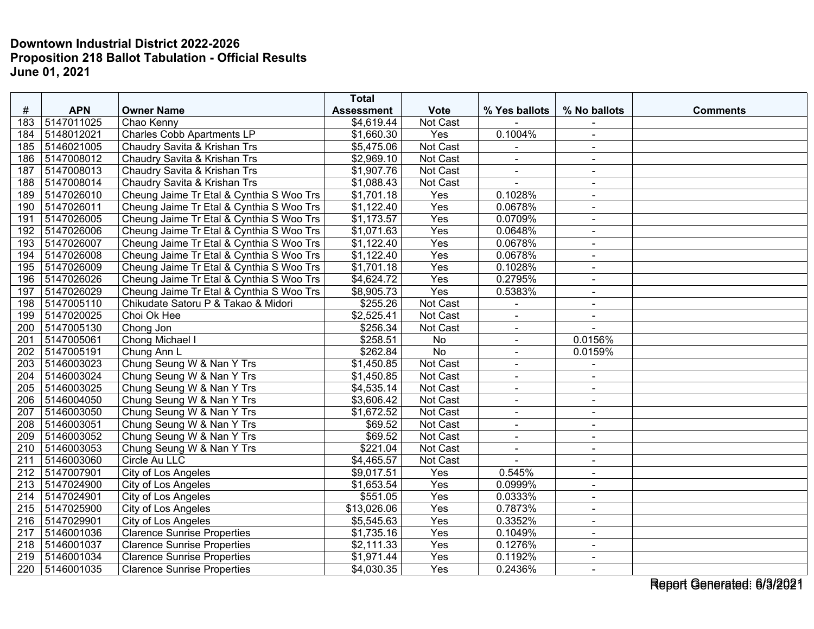|     |            |                                          | <b>Total</b>            |                  |                |                          |                 |
|-----|------------|------------------------------------------|-------------------------|------------------|----------------|--------------------------|-----------------|
| #   | <b>APN</b> | <b>Owner Name</b>                        | <b>Assessment</b>       | <b>Vote</b>      | % Yes ballots  | % No ballots             | <b>Comments</b> |
| 183 | 5147011025 | Chao Kenny                               | \$4,619.44              | Not Cast         |                |                          |                 |
| 184 | 5148012021 | <b>Charles Cobb Apartments LP</b>        | \$1,660.30              | Yes              | 0.1004%        | $\blacksquare$           |                 |
| 185 | 5146021005 | Chaudry Savita & Krishan Trs             | \$5,475.06              | Not Cast         |                | $\overline{\phantom{a}}$ |                 |
| 186 | 5147008012 | Chaudry Savita & Krishan Trs             | \$2,969.10              | Not Cast         | $\blacksquare$ | $\sim$                   |                 |
| 187 | 5147008013 | Chaudry Savita & Krishan Trs             | \$1,907.76              | <b>Not Cast</b>  | $\blacksquare$ | $\sim$                   |                 |
| 188 | 5147008014 | Chaudry Savita & Krishan Trs             | \$1,088.43              | Not Cast         | $\sim$         | $\sim$                   |                 |
| 189 | 5147026010 | Cheung Jaime Tr Etal & Cynthia S Woo Trs | \$1,701.18              | Yes              | 0.1028%        | $\sim$                   |                 |
| 190 | 5147026011 | Cheung Jaime Tr Etal & Cynthia S Woo Trs | \$1,122.40              | Yes              | 0.0678%        | $\overline{\phantom{a}}$ |                 |
| 191 | 5147026005 | Cheung Jaime Tr Etal & Cynthia S Woo Trs | \$1,173.57              | Yes              | 0.0709%        | $\sim$                   |                 |
| 192 | 5147026006 | Cheung Jaime Tr Etal & Cynthia S Woo Trs | \$1,071.63              | Yes              | 0.0648%        | $\blacksquare$           |                 |
| 193 | 5147026007 | Cheung Jaime Tr Etal & Cynthia S Woo Trs | \$1,122.40              | Yes              | 0.0678%        | $\sim$                   |                 |
| 194 | 5147026008 | Cheung Jaime Tr Etal & Cynthia S Woo Trs | \$1,122.40              | Yes              | 0.0678%        | $\sim$                   |                 |
| 195 | 5147026009 | Cheung Jaime Tr Etal & Cynthia S Woo Trs | \$1,701.18              | Yes              | 0.1028%        | $\sim$                   |                 |
| 196 | 5147026026 | Cheung Jaime Tr Etal & Cynthia S Woo Trs | \$4,624.72              | Yes              | 0.2795%        | $\blacksquare$           |                 |
| 197 | 5147026029 | Cheung Jaime Tr Etal & Cynthia S Woo Trs | \$8,905.73              | Yes              | 0.5383%        | $\blacksquare$           |                 |
| 198 | 5147005110 | Chikudate Satoru P & Takao & Midori      | \$255.26                | Not Cast         | $\sim$         | $\sim$                   |                 |
| 199 | 5147020025 | Choi Ok Hee                              | \$2,525.41              | Not Cast         | $\blacksquare$ | $\blacksquare$           |                 |
| 200 | 5147005130 | Chong Jon                                | \$256.34                | Not Cast         | $\blacksquare$ |                          |                 |
| 201 | 5147005061 | Chong Michael I                          | \$258.51                | No               | $\blacksquare$ | 0.0156%                  |                 |
| 202 | 5147005191 | Chung Ann L                              | \$262.84                | <b>No</b>        | $\overline{a}$ | 0.0159%                  |                 |
| 203 | 5146003023 | Chung Seung W & Nan Y Trs                | \$1,450.85              | Not Cast         | $\blacksquare$ | $\sim$                   |                 |
| 204 | 5146003024 | Chung Seung W & Nan Y Trs                | \$1,450.85              | Not Cast         | $\sim$         | $\mathbf{r}$             |                 |
| 205 | 5146003025 | Chung Seung W & Nan Y Trs                | \$4,535.14              | Not Cast         | $\blacksquare$ | $\blacksquare$           |                 |
| 206 | 5146004050 | Chung Seung W & Nan Y Trs                | \$3,606.42              | Not Cast         | $\blacksquare$ | $\blacksquare$           |                 |
| 207 | 5146003050 | Chung Seung W & Nan Y Trs                | \$1,672.52              | Not Cast         | $\blacksquare$ | $\blacksquare$           |                 |
| 208 | 5146003051 | Chung Seung W & Nan Y Trs                | \$69.52                 | Not Cast         | $\blacksquare$ | $\sim$                   |                 |
| 209 | 5146003052 | Chung Seung W & Nan Y Trs                | \$69.52                 | Not Cast         | $\blacksquare$ | $\sim$                   |                 |
| 210 | 5146003053 | Chung Seung W & Nan Y Trs                | \$221.04                | Not Cast         | $\blacksquare$ | $\sim$                   |                 |
| 211 | 5146003060 | Circle Au LLC                            | \$4,465.57              | Not Cast         |                | $\sim$                   |                 |
| 212 | 5147007901 | <b>City of Los Angeles</b>               | \$9,017.51              | Yes              | 0.545%         | $\blacksquare$           |                 |
| 213 | 5147024900 | City of Los Angeles                      | \$1,653.54              | Yes              | 0.0999%        | $\blacksquare$           |                 |
| 214 | 5147024901 | City of Los Angeles                      | \$551.05                | Yes              | 0.0333%        | $\blacksquare$           |                 |
| 215 | 5147025900 | City of Los Angeles                      | $$1\overline{3,026.06}$ | $\overline{Yes}$ | 0.7873%        | $\blacksquare$           |                 |
| 216 | 5147029901 | City of Los Angeles                      | \$5,545.63              | Yes              | 0.3352%        | $\sim$                   |                 |
| 217 | 5146001036 | <b>Clarence Sunrise Properties</b>       | \$1,735.16              | Yes              | 0.1049%        | $\sim$                   |                 |
| 218 | 5146001037 | <b>Clarence Sunrise Properties</b>       | \$2,111.33              | Yes              | 0.1276%        | $\blacksquare$           |                 |
| 219 | 5146001034 | Clarence Sunrise Properties              | \$1,971.44              | Yes              | 0.1192%        | $\sim$                   |                 |
| 220 | 5146001035 | <b>Clarence Sunrise Properties</b>       | \$4,030.35              | Yes              | 0.2436%        | $\blacksquare$           |                 |

Report Generated: 6/3/2021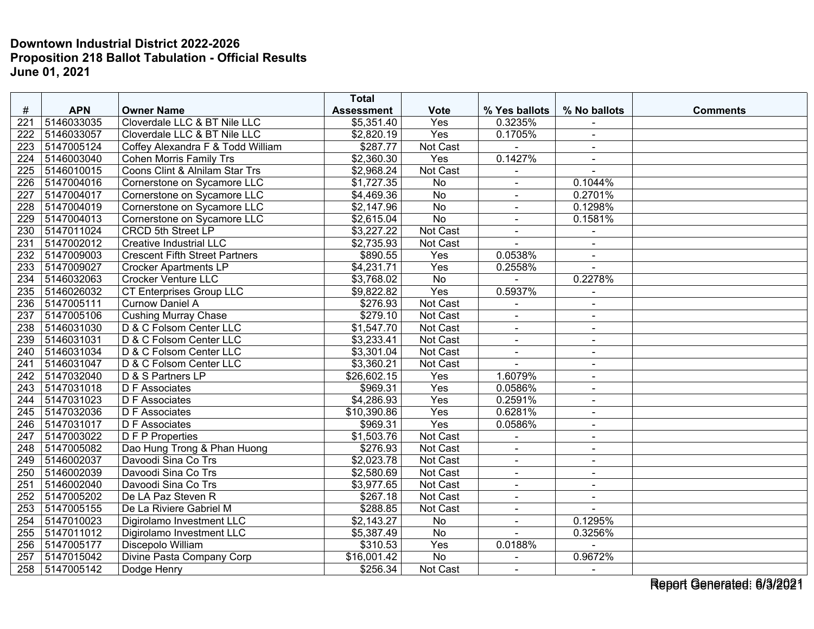|                  |                |                                       | <b>Total</b>      |                 |                      |                |                 |
|------------------|----------------|---------------------------------------|-------------------|-----------------|----------------------|----------------|-----------------|
| #                | <b>APN</b>     | <b>Owner Name</b>                     | <b>Assessment</b> | <b>Vote</b>     | % Yes ballots        | % No ballots   | <b>Comments</b> |
| 221              | 5146033035     | Cloverdale LLC & BT Nile LLC          | \$5,351.40        | Yes             | 0.3235%              |                |                 |
| 222              | 5146033057     | Cloverdale LLC & BT Nile LLC          | \$2,820.19        | Yes             | 0.1705%              | $\blacksquare$ |                 |
| 223              | 5147005124     | Coffey Alexandra F & Todd William     | \$287.77          | Not Cast        |                      | $\blacksquare$ |                 |
| 224              | 5146003040     | Cohen Morris Family Trs               | \$2,360.30        | Yes             | 0.1427%              |                |                 |
| 225              | 5146010015     | Coons Clint & Alnilam Star Trs        | \$2,968.24        | Not Cast        |                      | $\sim$         |                 |
| $\overline{226}$ | 5147004016     | Cornerstone on Sycamore LLC           | \$1,727.35        | $\overline{No}$ |                      | 0.1044%        |                 |
| 227              | 5147004017     | Cornerstone on Sycamore LLC           | \$4,469.36        | <b>No</b>       | $\blacksquare$       | 0.2701%        |                 |
| 228              | 5147004019     | Cornerstone on Sycamore LLC           | \$2,147.96        | <b>No</b>       | $\sim$               | 0.1298%        |                 |
| 229              | 5147004013     | Cornerstone on Sycamore LLC           | \$2,615.04        | $\overline{No}$ | $\sim$               | 0.1581%        |                 |
| 230              | 5147011024     | <b>CRCD 5th Street LP</b>             | \$3,227.22        | Not Cast        | $\blacksquare$       | $\blacksquare$ |                 |
| 231              | 5147002012     | <b>Creative Industrial LLC</b>        | \$2,735.93        | Not Cast        |                      |                |                 |
| 232              | 5147009003     | <b>Crescent Fifth Street Partners</b> | \$890.55          | Yes             | 0.0538%              | $\blacksquare$ |                 |
| $\overline{233}$ | 5147009027     | <b>Crocker Apartments LP</b>          | \$4,231.71        | Yes             | 0.2558%              |                |                 |
| 234              | 5146032063     | <b>Crocker Venture LLC</b>            | \$3,768.02        | <b>No</b>       |                      | 0.2278%        |                 |
| 235              | 5146026032     | <b>CT Enterprises Group LLC</b>       | \$9,822.82        | Yes             | 0.5937%              | $\blacksquare$ |                 |
| 236              | 5147005111     | <b>Curnow Daniel A</b>                | \$276.93          | Not Cast        | $\overline{a}$       | $\sim$         |                 |
| 237              | 5147005106     | <b>Cushing Murray Chase</b>           | \$279.10          | Not Cast        | $\blacksquare$       | $\blacksquare$ |                 |
| 238              | 5146031030     | D & C Folsom Center LLC               | \$1,547.70        | Not Cast        | $\blacksquare$       | $\sim$         |                 |
| 239              | 5146031031     | D & C Folsom Center LLC               | \$3,233.41        | Not Cast        | $\blacksquare$       | $\blacksquare$ |                 |
| 240              | 5146031034     | D & C Folsom Center LLC               | \$3,301.04        | Not Cast        | $\blacksquare$       | $\blacksquare$ |                 |
| $\overline{241}$ | 5146031047     | D & C Folsom Center LLC               | \$3,360.21        | Not Cast        |                      | $\sim$         |                 |
| 242              | 5147032040     | D & S Partners LP                     | \$26,602.15       | Yes             | 1.6079%              | $\sim$         |                 |
| 243              | 5147031018     | D F Associates                        | \$969.31          | Yes             | 0.0586%              | $\blacksquare$ |                 |
| 244              | 5147031023     | <b>DF</b> Associates                  | \$4,286.93        | Yes             | 0.2591%              | $\blacksquare$ |                 |
| 245              | 5147032036     | <b>DF</b> Associates                  | \$10,390.86       | Yes             | 0.6281%              | $\sim$         |                 |
| 246              | 5147031017     | D F Associates                        | \$969.31          | Yes             | 0.0586%              | $\sim$         |                 |
| 247              | 5147003022     | D F P Properties                      | \$1,503.76        | Not Cast        | ÷,                   | $\blacksquare$ |                 |
| 248              | 5147005082     | Dao Hung Trong & Phan Huong           | \$276.93          | Not Cast        | $\ddot{\phantom{1}}$ | $\sim$         |                 |
| 249              | 5146002037     | Davoodi Sina Co Trs                   | \$2,023.78        | Not Cast        | $\blacksquare$       | $\sim$         |                 |
| 250              | 5146002039     | Davoodi Sina Co Trs                   | \$2,580.69        | Not Cast        | $\blacksquare$       | $\blacksquare$ |                 |
| 251              | 5146002040     | Davoodi Sina Co Trs                   | \$3,977.65        | Not Cast        | $\blacksquare$       | $\blacksquare$ |                 |
| 252              | 5147005202     | De LA Paz Steven R                    | \$267.18          | Not Cast        | $\blacksquare$       | $\blacksquare$ |                 |
| 253              | 5147005155     | De La Riviere Gabriel M               | \$288.85          | Not Cast        | $\blacksquare$       | $\sim$         |                 |
| 254              | 5147010023     | Digirolamo Investment LLC             | \$2,143.27        | <b>No</b>       | $\sim$               | 0.1295%        |                 |
| 255              | 5147011012     | Digirolamo Investment LLC             | \$5,387.49        | No              |                      | 0.3256%        |                 |
| 256              | 5147005177     | Discepolo William                     | \$310.53          | Yes             | 0.0188%              |                |                 |
| 257              | 5147015042     | Divine Pasta Company Corp             | \$16,001.42       | <b>No</b>       | $\mathbf{r}$         | 0.9672%        |                 |
|                  | 258 5147005142 | Dodge Henry                           | \$256.34          | Not Cast        | $\blacksquare$       | $\blacksquare$ |                 |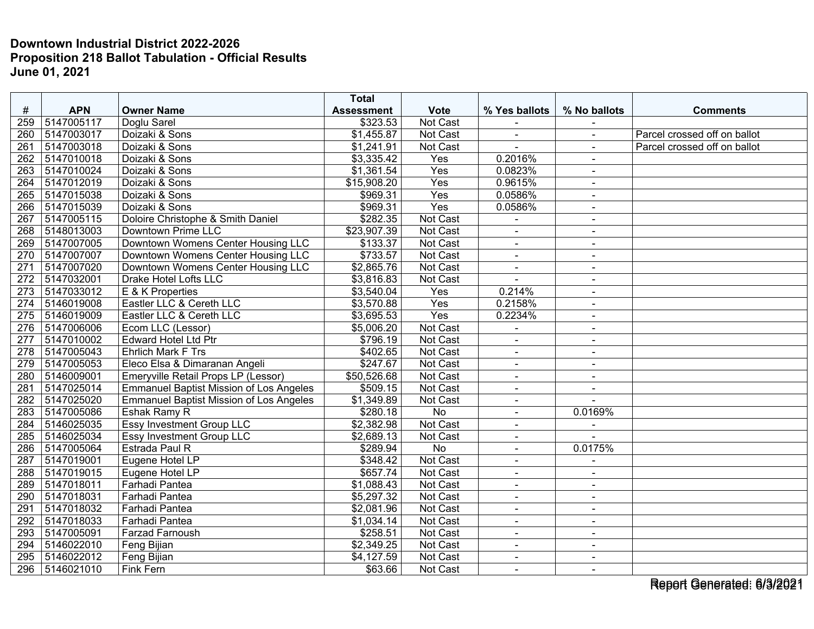| #                | <b>APN</b> | <b>Owner Name</b>                              | <b>Total</b>                  | <b>Vote</b>          | % Yes ballots         | % No ballots   |                                                              |
|------------------|------------|------------------------------------------------|-------------------------------|----------------------|-----------------------|----------------|--------------------------------------------------------------|
| 259              | 5147005117 |                                                | <b>Assessment</b><br>\$323.53 | Not Cast             |                       |                | <b>Comments</b>                                              |
|                  | 5147003017 | Doglu Sarel                                    |                               |                      |                       |                |                                                              |
| 260<br>261       | 5147003018 | Doizaki & Sons<br>Doizaki & Sons               | \$1,455.87<br>\$1,241.91      | Not Cast<br>Not Cast | $\blacksquare$<br>L,  | $\blacksquare$ | Parcel crossed off on ballot<br>Parcel crossed off on ballot |
| 262              |            |                                                |                               |                      | 0.2016%               | $\sim$         |                                                              |
|                  | 5147010018 | Doizaki & Sons                                 | \$3,335.42                    | Yes<br>Yes           |                       | $\sim$         |                                                              |
| 263              | 5147010024 | Doizaki & Sons                                 | \$1,361.54                    |                      | 0.0823%               | $\sim$         |                                                              |
| 264              | 5147012019 | Doizaki & Sons                                 | \$15,908.20                   | $\overline{Yes}$     | 0.9615%               | $\sim$         |                                                              |
| 265              | 5147015038 | Doizaki & Sons                                 | \$969.31                      | Yes                  | 0.0586%               | $\sim$         |                                                              |
| 266              | 5147015039 | Doizaki & Sons                                 | \$969.31                      | Yes                  | 0.0586%               | $\sim$         |                                                              |
| 267              | 5147005115 | Doloire Christophe & Smith Daniel              | \$282.35                      | Not Cast             | $\blacksquare$        | $\blacksquare$ |                                                              |
| 268              | 5148013003 | Downtown Prime LLC                             | \$23,907.39                   | Not Cast             | $\blacksquare$        | $\sim$         |                                                              |
| 269              | 5147007005 | Downtown Womens Center Housing LLC             | \$133.37                      | Not Cast             | $\blacksquare$        | $\blacksquare$ |                                                              |
| 270              | 5147007007 | Downtown Womens Center Housing LLC             | \$733.57                      | Not Cast             | $\tilde{\phantom{a}}$ | $\sim$         |                                                              |
| 271              | 5147007020 | Downtown Womens Center Housing LLC             | \$2,865.76                    | Not Cast             | $\sim$                | $\sim$         |                                                              |
| 272              | 5147032001 | Drake Hotel Lofts LLC                          | \$3,816.83                    | Not Cast             |                       | $\sim$         |                                                              |
| $\overline{273}$ | 5147033012 | E & K Properties                               | \$3,540.04                    | Yes                  | 0.214%                | $\sim$         |                                                              |
| 274              | 5146019008 | Eastler LLC & Cereth LLC                       | \$3,570.88                    | Yes                  | 0.2158%               | $\sim$         |                                                              |
| 275              | 5146019009 | Eastler LLC & Cereth LLC                       | \$3,695.53                    | Yes                  | 0.2234%               | $\sim$         |                                                              |
| 276              | 5147006006 | Ecom LLC (Lessor)                              | \$5,006.20                    | Not Cast             |                       | $\blacksquare$ |                                                              |
| 277              | 5147010002 | <b>Edward Hotel Ltd Ptr</b>                    | \$796.19                      | Not Cast             |                       | $\blacksquare$ |                                                              |
| 278              | 5147005043 | <b>Ehrlich Mark F Trs</b>                      | \$402.65                      | Not Cast             | $\blacksquare$        | $\sim$         |                                                              |
| 279              | 5147005053 | Eleco Elsa & Dimaranan Angeli                  | \$247.67                      | Not Cast             | $\blacksquare$        | $\blacksquare$ |                                                              |
| 280              | 5146009001 | Emeryville Retail Props LP (Lessor)            | \$50,526.68                   | Not Cast             |                       |                |                                                              |
| 281              | 5147025014 | <b>Emmanuel Baptist Mission of Los Angeles</b> | \$509.15                      | Not Cast             | $\blacksquare$        | $\sim$         |                                                              |
| 282              | 5147025020 | <b>Emmanuel Baptist Mission of Los Angeles</b> | \$1,349.89                    | Not Cast             | $\tilde{\phantom{a}}$ | $\sim$         |                                                              |
| 283              | 5147005086 | Eshak Ramy R                                   | \$280.18                      | No                   | $\blacksquare$        | 0.0169%        |                                                              |
| 284              | 5146025035 | <b>Essy Investment Group LLC</b>               | \$2,382.98                    | Not Cast             | $\blacksquare$        |                |                                                              |
| 285              | 5146025034 | Essy Investment Group LLC                      | \$2,689.13                    | Not Cast             | $\blacksquare$        |                |                                                              |
| 286              | 5147005064 | Estrada Paul R                                 | \$289.94                      | No                   | $\blacksquare$        | 0.0175%        |                                                              |
| 287              | 5147019001 | Eugene Hotel LP                                | \$348.42                      | Not Cast             |                       |                |                                                              |
| 288              | 5147019015 | Eugene Hotel LP                                | \$657.74                      | Not Cast             | $\mathbf{r}$          | $\blacksquare$ |                                                              |
| 289              | 5147018011 | Farhadi Pantea                                 | \$1,088.43                    | Not Cast             | $\blacksquare$        | $\sim$         |                                                              |
| 290              | 5147018031 | Farhadi Pantea                                 | \$5,297.32                    | Not Cast             | $\blacksquare$        | $\sim$         |                                                              |
| 291              | 5147018032 | Farhadi Pantea                                 | \$2,081.96                    | Not Cast             | $\blacksquare$        | $\blacksquare$ |                                                              |
| 292              | 5147018033 | Farhadi Pantea                                 | \$1,034.14                    | Not Cast             | $\sim$                | $\sim$         |                                                              |
| 293              | 5147005091 | Farzad Farnoush                                | \$258.51                      | Not Cast             | $\blacksquare$        | $\blacksquare$ |                                                              |
| 294              | 5146022010 | Feng Bijian                                    | \$2,349.25                    | Not Cast             |                       | $\sim$         |                                                              |
| 295              | 5146022012 | Feng Bijian                                    | \$4,127.59                    | Not Cast             | $\overline{a}$        | $\sim$         |                                                              |
| 296              | 5146021010 | Fink Fern                                      | \$63.66                       | Not Cast             | $\sim$                | $\sim$         |                                                              |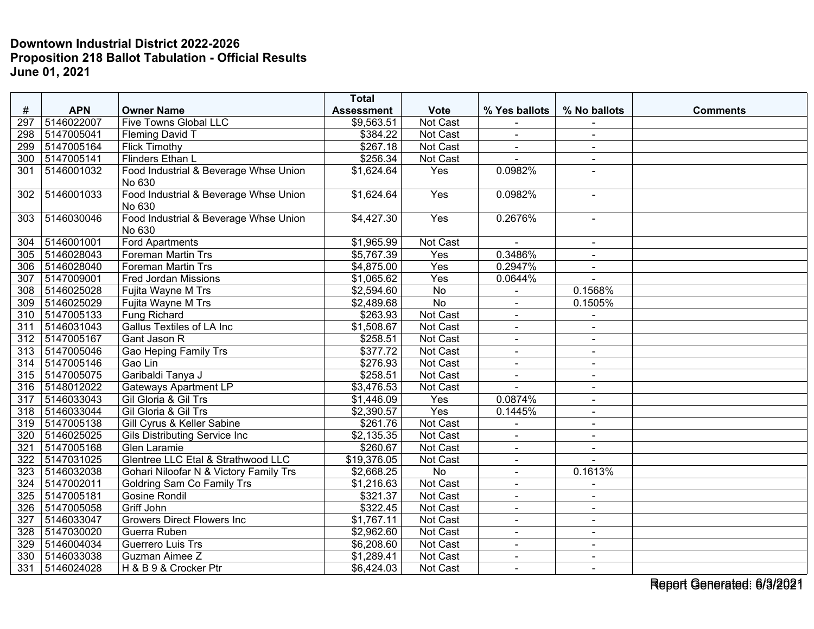|     |            |                                                 | <b>Total</b>           |                 |                          |                |                 |
|-----|------------|-------------------------------------------------|------------------------|-----------------|--------------------------|----------------|-----------------|
| #   | <b>APN</b> | <b>Owner Name</b>                               | <b>Assessment</b>      | <b>Vote</b>     | % Yes ballots            | % No ballots   | <b>Comments</b> |
| 297 | 5146022007 | <b>Five Towns Global LLC</b>                    | \$9,563.51             | Not Cast        |                          |                |                 |
| 298 | 5147005041 | <b>Fleming David T</b>                          | \$384.22               | <b>Not Cast</b> | $\sim$                   | $\blacksquare$ |                 |
| 299 | 5147005164 | <b>Flick Timothy</b>                            | \$267.18               | Not Cast        | $\blacksquare$           | $\blacksquare$ |                 |
| 300 | 5147005141 | Flinders Ethan L                                | \$256.34               | Not Cast        |                          |                |                 |
| 301 | 5146001032 | Food Industrial & Beverage Whse Union<br>No 630 | \$1,624.64             | Yes             | 0.0982%                  |                |                 |
| 302 | 5146001033 | Food Industrial & Beverage Whse Union<br>No 630 | \$1,624.64             | Yes             | 0.0982%                  | $\sim$         |                 |
| 303 | 5146030046 | Food Industrial & Beverage Whse Union<br>No 630 | \$4,427.30             | Yes             | 0.2676%                  | $\blacksquare$ |                 |
| 304 | 5146001001 | <b>Ford Apartments</b>                          | \$1,965.99             | Not Cast        |                          | $\blacksquare$ |                 |
| 305 | 5146028043 | <b>Foreman Martin Trs</b>                       | \$5,767.39             | Yes             | 0.3486%                  | $\blacksquare$ |                 |
| 306 | 5146028040 | <b>Foreman Martin Trs</b>                       | \$4,875.00             | Yes             | 0.2947%                  | $\sim$         |                 |
| 307 | 5147009001 | <b>Fred Jordan Missions</b>                     | \$1,065.62             | Yes             | 0.0644%                  |                |                 |
| 308 | 5146025028 | Fujita Wayne M Trs                              | \$2,594.60             | No              |                          | 0.1568%        |                 |
| 309 | 5146025029 | Fujita Wayne M Trs                              | \$2,489.68             | <b>No</b>       | $\blacksquare$           | 0.1505%        |                 |
| 310 | 5147005133 | Fung Richard                                    | \$263.93               | Not Cast        | $\blacksquare$           | $\blacksquare$ |                 |
| 311 | 5146031043 | <b>Gallus Textiles of LA Inc.</b>               | \$1,508.67             | Not Cast        | $\blacksquare$           | $\blacksquare$ |                 |
| 312 | 5147005167 | Gant Jason R                                    | \$258.51               | Not Cast        | $\sim$                   | $\blacksquare$ |                 |
| 313 | 5147005046 | <b>Gao Heping Family Trs</b>                    | \$377.72               | Not Cast        | $\overline{\phantom{a}}$ | $\blacksquare$ |                 |
| 314 | 5147005146 | Gao Lin                                         | \$276.93               | Not Cast        |                          |                |                 |
| 315 | 5147005075 | Garibaldi Tanya J                               | \$258.51               | Not Cast        | $\sim$                   | $\blacksquare$ |                 |
| 316 | 5148012022 | <b>Gateways Apartment LP</b>                    | \$3,476.53             | Not Cast        | $\overline{a}$           | $\sim$         |                 |
| 317 | 5146033043 | Gil Gloria & Gil Trs                            | \$1,446.09             | Yes             | 0.0874%                  | $\blacksquare$ |                 |
| 318 | 5146033044 | Gil Gloria & Gil Trs                            | \$2,390.57             | Yes             | 0.1445%                  | $\blacksquare$ |                 |
| 319 | 5147005138 | Gill Cyrus & Keller Sabine                      | \$261.76               | Not Cast        |                          | $\blacksquare$ |                 |
| 320 | 5146025025 | Gils Distributing Service Inc                   | $\overline{$2,135.35}$ | Not Cast        | $\overline{a}$           | $\sim$         |                 |
| 321 | 5147005168 | <b>Glen Laramie</b>                             | \$260.67               | Not Cast        |                          |                |                 |
| 322 | 5147031025 | Glentree LLC Etal & Strathwood LLC              | \$19,376.05            | Not Cast        | $\sim$                   | $\sim$         |                 |
| 323 | 5146032038 | Gohari Niloofar N & Victory Family Trs          | \$2,668.25             | $\overline{No}$ | $\overline{a}$           | 0.1613%        |                 |
| 324 | 5147002011 | <b>Goldring Sam Co Family Trs</b>               | \$1,216.63             | Not Cast        | $\blacksquare$           |                |                 |
| 325 | 5147005181 | <b>Gosine Rondil</b>                            | \$321.37               | Not Cast        | $\tilde{\phantom{a}}$    | $\blacksquare$ |                 |
| 326 | 5147005058 | Griff John                                      | \$322.45               | Not Cast        | $\sim$                   | $\blacksquare$ |                 |
| 327 | 5146033047 | <b>Growers Direct Flowers Inc.</b>              | \$1,767.11             | Not Cast        | $\sim$                   | $\sim$         |                 |
| 328 | 5147030020 | Guerra Ruben                                    | \$2,962.60             | Not Cast        |                          | $\sim$         |                 |
| 329 | 5146004034 | Guerrero Luis Trs                               | \$6,208.60             | Not Cast        | $\sim$                   | $\blacksquare$ |                 |
| 330 | 5146033038 | Guzman Aimee Z                                  | \$1,289.41             | Not Cast        | $\blacksquare$           | $\sim$         |                 |
| 331 | 5146024028 | H & B 9 & Crocker Ptr                           | \$6,424.03             | Not Cast        | $\sim$                   | $\sim$         |                 |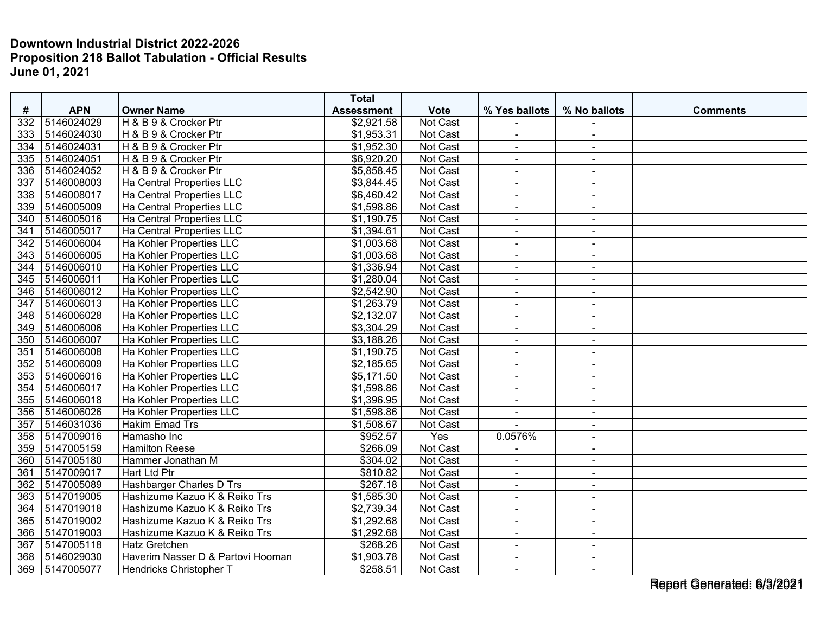|     |            |                                   | <b>Total</b>           |                 |                      |                      |                 |
|-----|------------|-----------------------------------|------------------------|-----------------|----------------------|----------------------|-----------------|
| #   | <b>APN</b> | <b>Owner Name</b>                 | <b>Assessment</b>      | <b>Vote</b>     | % Yes ballots        | % No ballots         | <b>Comments</b> |
| 332 | 5146024029 | H & B 9 & Crocker Ptr             | \$2,921.58             | Not Cast        |                      |                      |                 |
| 333 | 5146024030 | H & B 9 & Crocker Ptr             | \$1,953.31             | <b>Not Cast</b> | $\blacksquare$       | $\sim$               |                 |
| 334 | 5146024031 | H & B 9 & Crocker Ptr             | \$1,952.30             | Not Cast        | $\blacksquare$       | $\blacksquare$       |                 |
| 335 | 5146024051 | H & B 9 & Crocker Ptr             | \$6,920.20             | Not Cast        | $\blacksquare$       | $\sim$               |                 |
| 336 | 5146024052 | H & B 9 & Crocker Ptr             | \$5,858.45             | Not Cast        | $\blacksquare$       | $\sim$               |                 |
| 337 | 5146008003 | Ha Central Properties LLC         | \$3,844.45             | Not Cast        | $\blacksquare$       | $\sim$               |                 |
| 338 | 5146008017 | Ha Central Properties LLC         | \$6,460.42             | Not Cast        |                      | $\blacksquare$       |                 |
| 339 | 5146005009 | Ha Central Properties LLC         | \$1,598.86             | Not Cast        | $\sim$               | $\sim$               |                 |
| 340 | 5146005016 | Ha Central Properties LLC         | \$1,190.75             | <b>Not Cast</b> | $\overline{a}$       | $\overline{a}$       |                 |
| 341 | 5146005017 | Ha Central Properties LLC         | \$1,394.61             | Not Cast        | $\blacksquare$       | $\blacksquare$       |                 |
| 342 | 5146006004 | Ha Kohler Properties LLC          | \$1,003.68             | Not Cast        | $\blacksquare$       | $\blacksquare$       |                 |
| 343 | 5146006005 | Ha Kohler Properties LLC          | \$1,003.68             | Not Cast        | $\blacksquare$       | $\blacksquare$       |                 |
| 344 | 5146006010 | Ha Kohler Properties LLC          | \$1,336.94             | Not Cast        | $\blacksquare$       | $\sim$               |                 |
| 345 | 5146006011 | Ha Kohler Properties LLC          | \$1,280.04             | Not Cast        | $\blacksquare$       | $\blacksquare$       |                 |
| 346 | 5146006012 | Ha Kohler Properties LLC          | \$2,542.90             | Not Cast        | $\blacksquare$       | $\sim$               |                 |
| 347 | 5146006013 | Ha Kohler Properties LLC          | \$1,263.79             | Not Cast        | $\blacksquare$       | $\sim$               |                 |
| 348 | 5146006028 | Ha Kohler Properties LLC          | \$2,132.07             | <b>Not Cast</b> | $\blacksquare$       | $\sim$               |                 |
| 349 | 5146006006 | Ha Kohler Properties LLC          | \$3,304.29             | Not Cast        | $\blacksquare$       | $\ddot{\phantom{1}}$ |                 |
| 350 | 5146006007 | Ha Kohler Properties LLC          | \$3,188.26             | Not Cast        | $\blacksquare$       | $\sim$               |                 |
| 351 | 5146006008 | Ha Kohler Properties LLC          | \$1,190.75             | Not Cast        | $\blacksquare$       | $\sim$               |                 |
| 352 | 5146006009 | Ha Kohler Properties LLC          | \$2,185.65             | Not Cast        | $\blacksquare$       | $\sim$               |                 |
| 353 | 5146006016 | Ha Kohler Properties LLC          | $\overline{$5,171.50}$ | Not Cast        |                      | $\sim$               |                 |
| 354 | 5146006017 | Ha Kohler Properties LLC          | \$1,598.86             | Not Cast        | $\blacksquare$       | $\blacksquare$       |                 |
| 355 | 5146006018 | Ha Kohler Properties LLC          | \$1,396.95             | Not Cast        | $\blacksquare$       | $\sim$               |                 |
| 356 | 5146006026 | Ha Kohler Properties LLC          | \$1,598.86             | Not Cast        | $\blacksquare$       | $\blacksquare$       |                 |
| 357 | 5146031036 | <b>Hakim Emad Trs</b>             | \$1,508.67             | Not Cast        |                      | $\blacksquare$       |                 |
| 358 | 5147009016 | Hamasho Inc                       | \$952.57               | Yes             | 0.0576%              | $\blacksquare$       |                 |
| 359 | 5147005159 | <b>Hamilton Reese</b>             | \$266.09               | Not Cast        | $\blacksquare$       | $\sim$               |                 |
| 360 | 5147005180 | Hammer Jonathan M                 | \$304.02               | Not Cast        |                      |                      |                 |
| 361 | 5147009017 | <b>Hart Ltd Ptr</b>               | \$810.82               | Not Cast        | $\blacksquare$       | $\blacksquare$       |                 |
| 362 | 5147005089 | Hashbarger Charles D Trs          | \$267.18               | Not Cast        | $\blacksquare$       | $\sim$               |                 |
| 363 | 5147019005 | Hashizume Kazuo K & Reiko Trs     | \$1,585.30             | Not Cast        | $\blacksquare$       | $\blacksquare$       |                 |
| 364 | 5147019018 | Hashizume Kazuo K & Reiko Trs     | \$2,739.34             | Not Cast        | $\blacksquare$       | $\blacksquare$       |                 |
| 365 | 5147019002 | Hashizume Kazuo K & Reiko Trs     | \$1,292.68             | Not Cast        | $\blacksquare$       | $\blacksquare$       |                 |
| 366 | 5147019003 | Hashizume Kazuo K & Reiko Trs     | \$1,292.68             | Not Cast        | $\ddot{\phantom{1}}$ | $\sim$               |                 |
| 367 | 5147005118 | <b>Hatz Gretchen</b>              | \$268.26               | Not Cast        |                      | $\blacksquare$       |                 |
| 368 | 5146029030 | Haverim Nasser D & Partovi Hooman | \$1,903.78             | Not Cast        | $\blacksquare$       | $\sim$               |                 |
| 369 | 5147005077 | Hendricks Christopher T           | \$258.51               | Not Cast        | $\blacksquare$       | $\sim$               |                 |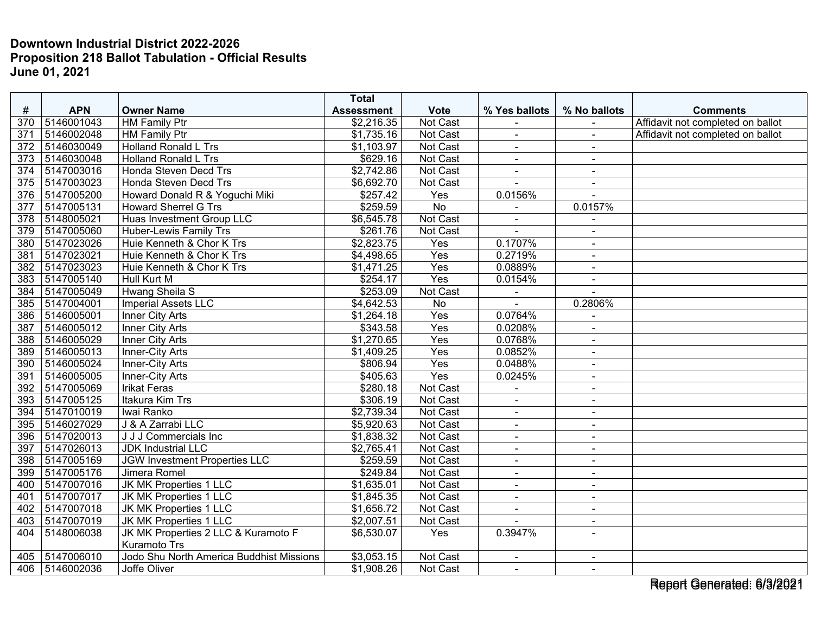|                  |            |                                          | <b>Total</b>      |                  |                |                |                                   |
|------------------|------------|------------------------------------------|-------------------|------------------|----------------|----------------|-----------------------------------|
| #                | <b>APN</b> | <b>Owner Name</b>                        | <b>Assessment</b> | <b>Vote</b>      | % Yes ballots  | % No ballots   | <b>Comments</b>                   |
| 370              | 5146001043 | <b>HM Family Ptr</b>                     | \$2,216.35        | Not Cast         |                |                | Affidavit not completed on ballot |
| 371              | 5146002048 | <b>HM Family Ptr</b>                     | \$1,735.16        | Not Cast         | $\blacksquare$ | $\sim$         | Affidavit not completed on ballot |
| 372              | 5146030049 | <b>Holland Ronald L Trs</b>              | \$1,103.97        | Not Cast         | $\blacksquare$ | $\sim$         |                                   |
| 373              | 5146030048 | <b>Holland Ronald L Trs</b>              | \$629.16          | Not Cast         | $\blacksquare$ |                |                                   |
| 374              | 5147003016 | Honda Steven Decd Trs                    | \$2,742.86        | Not Cast         | $\blacksquare$ | $\sim$         |                                   |
| 375              | 5147003023 | Honda Steven Decd Trs                    | \$6,692.70        | Not Cast         |                | $\sim$         |                                   |
| 376              | 5147005200 | Howard Donald R & Yoguchi Miki           | \$257.42          | Yes              | 0.0156%        |                |                                   |
| 377              | 5147005131 | <b>Howard Sherrel G Trs</b>              | \$259.59          | <b>No</b>        |                | 0.0157%        |                                   |
| $\overline{378}$ | 5148005021 | Huas Investment Group LLC                | \$6,545.78        | Not Cast         | $\overline{a}$ | $\sim$         |                                   |
| 379              | 5147005060 | Huber-Lewis Family Trs                   | \$261.76          | Not Cast         |                | $\blacksquare$ |                                   |
| 380              | 5147023026 | Huie Kenneth & Chor K Trs                | \$2,823.75        | Yes              | 0.1707%        |                |                                   |
| 381              | 5147023021 | Huie Kenneth & Chor K Trs                | \$4,498.65        | Yes              | 0.2719%        | $\sim$         |                                   |
| 382              | 5147023023 | Huie Kenneth & Chor K Trs                | \$1,471.25        | Yes              | 0.0889%        | $\blacksquare$ |                                   |
| 383              | 5147005140 | Hull Kurt M                              | \$254.17          | Yes              | 0.0154%        | $\sim$         |                                   |
| 384              | 5147005049 | <b>Hwang Sheila S</b>                    | \$253.09          | Not Cast         |                | $\overline{a}$ |                                   |
| 385              | 5147004001 | <b>Imperial Assets LLC</b>               | \$4,642.53        | <b>No</b>        | $\blacksquare$ | 0.2806%        |                                   |
| 386              | 5146005001 | Inner City Arts                          | \$1,264.18        | Yes              | 0.0764%        | $\sim$         |                                   |
| 387              | 5146005012 | <b>Inner City Arts</b>                   | \$343.58          | $\overline{Yes}$ | 0.0208%        | $\sim$         |                                   |
| 388              | 5146005029 | Inner City Arts                          | \$1,270.65        | Yes              | 0.0768%        | $\blacksquare$ |                                   |
| 389              | 5146005013 | Inner-City Arts                          | \$1,409.25        | Yes              | 0.0852%        | $\sim$         |                                   |
| 390              | 5146005024 | Inner-City Arts                          | \$806.94          | Yes              | 0.0488%        | $\sim$         |                                   |
| 391              | 5146005005 | Inner-City Arts                          | \$405.63          | Yes              | 0.0245%        | $\blacksquare$ |                                   |
| 392              | 5147005069 | <b>Irikat Feras</b>                      | \$280.18          | Not Cast         | $\blacksquare$ | $\sim$         |                                   |
| 393              | 5147005125 | Itakura Kim Trs                          | \$306.19          | Not Cast         | ÷,             | $\sim$         |                                   |
| 394              | 5147010019 | Iwai Ranko                               | \$2,739.34        | Not Cast         | $\blacksquare$ | $\sim$         |                                   |
| 395              | 5146027029 | J & A Zarrabi LLC                        | \$5,920.63        | Not Cast         | $\blacksquare$ | $\sim$         |                                   |
| 396              | 5147020013 | J J J Commercials Inc                    | \$1,838.32        | Not Cast         | $\blacksquare$ | $\sim$         |                                   |
| 397              | 5147026013 | <b>JDK Industrial LLC</b>                | \$2,765.41        | Not Cast         | $\blacksquare$ | $\sim$         |                                   |
| 398              | 5147005169 | JGW Investment Properties LLC            | \$259.59          | Not Cast         | $\overline{a}$ | $\sim$         |                                   |
| 399              | 5147005176 | Jimera Romel                             | \$249.84          | Not Cast         | $\blacksquare$ | $\sim$         |                                   |
| 400              | 5147007016 | JK MK Properties 1 LLC                   | \$1,635.01        | Not Cast         | $\blacksquare$ | $\sim$         |                                   |
| 401              | 5147007017 | JK MK Properties 1 LLC                   | \$1,845.35        | Not Cast         | $\blacksquare$ | $\blacksquare$ |                                   |
| 402              | 5147007018 | JK MK Properties 1 LLC                   | \$1,656.72        | Not Cast         | $\blacksquare$ | $\blacksquare$ |                                   |
| 403              | 5147007019 | JK MK Properties 1 LLC                   | \$2,007.51        | Not Cast         | $\sim$         | $\sim$         |                                   |
| 404              | 5148006038 | JK MK Properties 2 LLC & Kuramoto F      | \$6,530.07        | Yes              | 0.3947%        | $\overline{a}$ |                                   |
|                  |            | Kuramoto Trs                             |                   |                  |                |                |                                   |
| 405              | 5147006010 | Jodo Shu North America Buddhist Missions | \$3,053.15        | Not Cast         | $\blacksquare$ |                |                                   |
| 406              | 5146002036 | Joffe Oliver                             | \$1,908.26        | Not Cast         | $\blacksquare$ | $\sim$         |                                   |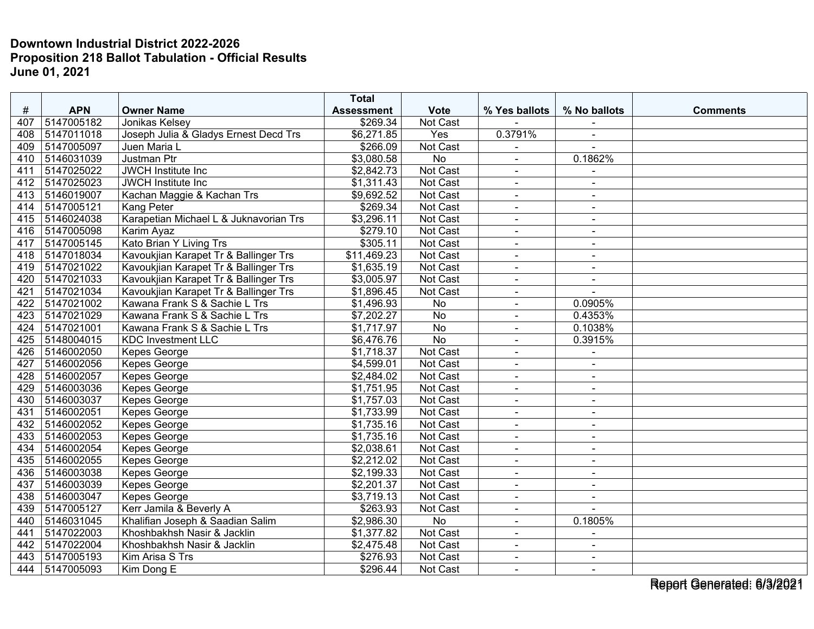|     |            |                                        | <b>Total</b>      |                 |                |                |                 |
|-----|------------|----------------------------------------|-------------------|-----------------|----------------|----------------|-----------------|
| #   | <b>APN</b> | <b>Owner Name</b>                      | <b>Assessment</b> | <b>Vote</b>     | % Yes ballots  | % No ballots   | <b>Comments</b> |
| 407 | 5147005182 | Jonikas Kelsev                         | \$269.34          | Not Cast        |                |                |                 |
| 408 | 5147011018 | Joseph Julia & Gladys Ernest Decd Trs  | \$6,271.85        | Yes             | 0.3791%        | $\sim$         |                 |
| 409 | 5147005097 | Juen Maria L                           | \$266.09          | Not Cast        |                |                |                 |
| 410 | 5146031039 | Justman Ptr                            | \$3,080.58        | No              |                | 0.1862%        |                 |
| 411 | 5147025022 | <b>JWCH Institute Inc</b>              | \$2,842.73        | Not Cast        | $\blacksquare$ | $\sim$         |                 |
| 412 | 5147025023 | JWCH Institute Inc                     | \$1,311.43        | Not Cast        | $\blacksquare$ | $\blacksquare$ |                 |
| 413 | 5146019007 | Kachan Maggie & Kachan Trs             | \$9,692.52        | Not Cast        |                |                |                 |
| 414 | 5147005121 | <b>Kang Peter</b>                      | \$269.34          | Not Cast        | $\blacksquare$ | $\sim$         |                 |
| 415 | 5146024038 | Karapetian Michael L & Juknavorian Trs | \$3,296.11        | Not Cast        | $\blacksquare$ | $\blacksquare$ |                 |
| 416 | 5147005098 | Karim Ayaz                             | \$279.10          | Not Cast        | $\blacksquare$ | $\sim$         |                 |
| 417 | 5147005145 | Kato Brian Y Living Trs                | \$305.11          | Not Cast        | $\blacksquare$ | $\sim$         |                 |
| 418 | 5147018034 | Kavoukjian Karapet Tr & Ballinger Trs  | \$11,469.23       | Not Cast        | $\sim$         | $\sim$         |                 |
| 419 | 5147021022 | Kavoukjian Karapet Tr & Ballinger Trs  | \$1,635.19        | Not Cast        | $\blacksquare$ | $\sim$         |                 |
| 420 | 5147021033 | Kavoukjian Karapet Tr & Ballinger Trs  | \$3,005.97        | Not Cast        |                |                |                 |
| 421 | 5147021034 | Kavoukjian Karapet Tr & Ballinger Trs  | \$1,896.45        | Not Cast        | $\blacksquare$ | $\sim$         |                 |
| 422 | 5147021002 | Kawana Frank S & Sachie L Trs          | \$1,496.93        | No              | $\blacksquare$ | 0.0905%        |                 |
| 423 | 5147021029 | Kawana Frank S & Sachie L Trs          | \$7,202.27        | No              | $\blacksquare$ | 0.4353%        |                 |
| 424 | 5147021001 | Kawana Frank S & Sachie L Trs          | \$1,717.97        | $\overline{No}$ | $\blacksquare$ | 0.1038%        |                 |
| 425 | 5148004015 | <b>KDC Investment LLC</b>              | \$6,476.76        | $\overline{No}$ | $\blacksquare$ | 0.3915%        |                 |
| 426 | 5146002050 | Kepes George                           | \$1,718.37        | Not Cast        | $\sim$         | $\blacksquare$ |                 |
| 427 | 5146002056 | Kepes George                           | \$4,599.01        | Not Cast        |                |                |                 |
| 428 | 5146002057 | Kepes George                           | \$2,484.02        | Not Cast        | $\overline{a}$ | $\sim$         |                 |
| 429 | 5146003036 | Kepes George                           | \$1,751.95        | Not Cast        | $\blacksquare$ | $\blacksquare$ |                 |
| 430 | 5146003037 | Kepes George                           | \$1,757.03        | Not Cast        | $\blacksquare$ | $\blacksquare$ |                 |
| 431 | 5146002051 | Kepes George                           | \$1,733.99        | Not Cast        | $\blacksquare$ | $\sim$         |                 |
| 432 | 5146002052 | Kepes George                           | \$1,735.16        | Not Cast        | $\sim$         | $\blacksquare$ |                 |
| 433 | 5146002053 | Kepes George                           | \$1,735.16        | Not Cast        | $\sim$         | $\blacksquare$ |                 |
| 434 | 5146002054 | Kepes George                           | \$2,038.61        | Not Cast        |                |                |                 |
| 435 | 5146002055 | Kepes George                           | \$2,212.02        | Not Cast        | $\overline{a}$ | $\sim$         |                 |
| 436 | 5146003038 | Kepes George                           | \$2,199.33        | <b>Not Cast</b> | $\blacksquare$ | $\blacksquare$ |                 |
| 437 | 5146003039 | Kepes George                           | \$2,201.37        | Not Cast        | $\blacksquare$ | $\blacksquare$ |                 |
| 438 | 5146003047 | Kepes George                           | \$3,719.13        | Not Cast        | $\blacksquare$ | $\sim$         |                 |
| 439 | 5147005127 | Kerr Jamila & Beverly A                | \$263.93          | Not Cast        | $\blacksquare$ | $\sim$         |                 |
| 440 | 5146031045 | Khalifian Joseph & Saadian Salim       | \$2,986.30        | No              | $\blacksquare$ | 0.1805%        |                 |
| 441 | 5147022003 | Khoshbakhsh Nasir & Jacklin            | \$1,377.82        | Not Cast        |                |                |                 |
| 442 | 5147022004 | Khoshbakhsh Nasir & Jacklin            | \$2,475.48        | Not Cast        | $\blacksquare$ | $\blacksquare$ |                 |
| 443 | 5147005193 | Kim Arisa S Trs                        | \$276.93          | Not Cast        | $\blacksquare$ | $\sim$         |                 |
| 444 | 5147005093 | Kim Dong E                             | \$296.44          | Not Cast        | $\overline{a}$ | $\blacksquare$ |                 |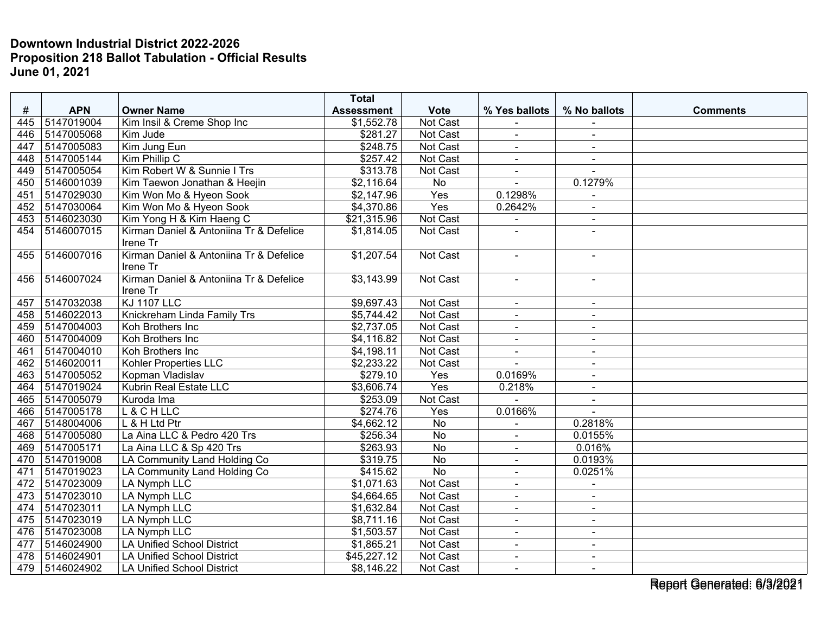|     |                |                                         | <b>Total</b>           |                 |                |                |                 |
|-----|----------------|-----------------------------------------|------------------------|-----------------|----------------|----------------|-----------------|
| #   | <b>APN</b>     | <b>Owner Name</b>                       | <b>Assessment</b>      | <b>Vote</b>     | % Yes ballots  | % No ballots   | <b>Comments</b> |
| 445 | 5147019004     | Kim Insil & Creme Shop Inc              | \$1,552.78             | Not Cast        |                |                |                 |
| 446 | 5147005068     | Kim Jude                                | \$281.27               | Not Cast        | $\sim$         | $\blacksquare$ |                 |
| 447 | 5147005083     | Kim Jung Eun                            | \$248.75               | Not Cast        | $\blacksquare$ | $\blacksquare$ |                 |
| 448 | 5147005144     | Kim Phillip C                           | \$257.42               | Not Cast        |                | $\blacksquare$ |                 |
| 449 | 5147005054     | Kim Robert W & Sunnie I Trs             | \$313.78               | Not Cast        | $\sim$         | $\blacksquare$ |                 |
| 450 | 5146001039     | Kim Taewon Jonathan & Heejin            | \$2,116.64             | $\overline{No}$ | $\overline{a}$ | 0.1279%        |                 |
| 451 | 5147029030     | Kim Won Mo & Hyeon Sook                 | \$2,147.96             | Yes             | 0.1298%        | $\blacksquare$ |                 |
| 452 | 5147030064     | Kim Won Mo & Hyeon Sook                 | \$4,370.86             | Yes             | 0.2642%        | $\mathbf{r}$   |                 |
| 453 | 5146023030     | Kim Yong H & Kim Haeng C                | \$21,315.96            | Not Cast        | $\blacksquare$ | $\sim$         |                 |
| 454 | 5146007015     | Kirman Daniel & Antoniina Tr & Defelice | \$1,814.05             | Not Cast        |                |                |                 |
|     |                | Irene Tr                                |                        |                 |                |                |                 |
| 455 | 5146007016     | Kirman Daniel & Antoniina Tr & Defelice | \$1,207.54             | Not Cast        | $\blacksquare$ | $\sim$         |                 |
|     |                | Irene Tr                                |                        |                 |                |                |                 |
| 456 | 5146007024     | Kirman Daniel & Antoniina Tr & Defelice | \$3,143.99             | Not Cast        |                |                |                 |
|     |                | Irene Tr                                |                        |                 |                |                |                 |
| 457 | 5147032038     | <b>KJ 1107 LLC</b>                      | \$9,697.43             | Not Cast        | $\sim$         | $\blacksquare$ |                 |
| 458 | 5146022013     | Knickreham Linda Family Trs             | \$5,744.42             | Not Cast        | $\blacksquare$ | $\blacksquare$ |                 |
| 459 | 5147004003     | Koh Brothers Inc                        | \$2,737.05             | Not Cast        | $\sim$         | $\blacksquare$ |                 |
| 460 | 5147004009     | Koh Brothers Inc                        | \$4,116.82             | Not Cast        | $\sim$         | $\blacksquare$ |                 |
| 461 | 5147004010     | Koh Brothers Inc                        | $\overline{4,198.11}$  | Not Cast        | $\overline{a}$ | $\blacksquare$ |                 |
| 462 | 5146020011     | Kohler Properties LLC                   | $\overline{$2,233.22}$ | Not Cast        |                |                |                 |
| 463 | 5147005052     | Kopman Vladislav                        | \$279.10               | Yes             | 0.0169%        | $\blacksquare$ |                 |
| 464 | 5147019024     | Kubrin Real Estate LLC                  | \$3,606.74             | Yes             | 0.218%         | $\blacksquare$ |                 |
| 465 | 5147005079     | Kuroda Ima                              | \$253.09               | Not Cast        |                | $\blacksquare$ |                 |
| 466 | 5147005178     | L & C H LLC                             | \$274.76               | Yes             | 0.0166%        |                |                 |
| 467 | 5148004006     | L & H Ltd Ptr                           | \$4,662.12             | <b>No</b>       |                | 0.2818%        |                 |
| 468 | 5147005080     | La Aina LLC & Pedro 420 Trs             | \$256.34               | $\overline{No}$ | $\overline{a}$ | 0.0155%        |                 |
| 469 | 5147005171     | La Aina LLC & Sp 420 Trs                | \$263.93               | $\overline{No}$ |                | 0.016%         |                 |
| 470 | 5147019008     | LA Community Land Holding Co            | \$319.75               | $\overline{N}$  | $\overline{a}$ | 0.0193%        |                 |
| 471 | 5147019023     | LA Community Land Holding Co            | \$415.62               | $\overline{No}$ | $\overline{a}$ | 0.0251%        |                 |
| 472 | 5147023009     | LA Nymph LLC                            | \$1,071.63             | Not Cast        | $\blacksquare$ | $\blacksquare$ |                 |
| 473 | 5147023010     | <b>LA Nymph LLC</b>                     | \$4,664.65             | Not Cast        | $\blacksquare$ | $\blacksquare$ |                 |
| 474 | 5147023011     | LA Nymph LLC                            | \$1,632.84             | Not Cast        | $\sim$         | $\blacksquare$ |                 |
| 475 | 5147023019     | LA Nymph LLC                            | \$8,711.16             | Not Cast        | $\sim$         | $\blacksquare$ |                 |
| 476 | 5147023008     | LA Nymph LLC                            | \$1,503.57             | Not Cast        |                | $\sim$         |                 |
| 477 | 5146024900     | <b>LA Unified School District</b>       | \$1,865.21             | Not Cast        | $\sim$         | $\blacksquare$ |                 |
| 478 | 5146024901     | <b>LA Unified School District</b>       | \$45,227.12            | Not Cast        | $\blacksquare$ | $\blacksquare$ |                 |
|     | 479 5146024902 | <b>LA Unified School District</b>       | \$8,146.22             | Not Cast        | $\sim$         | $\blacksquare$ |                 |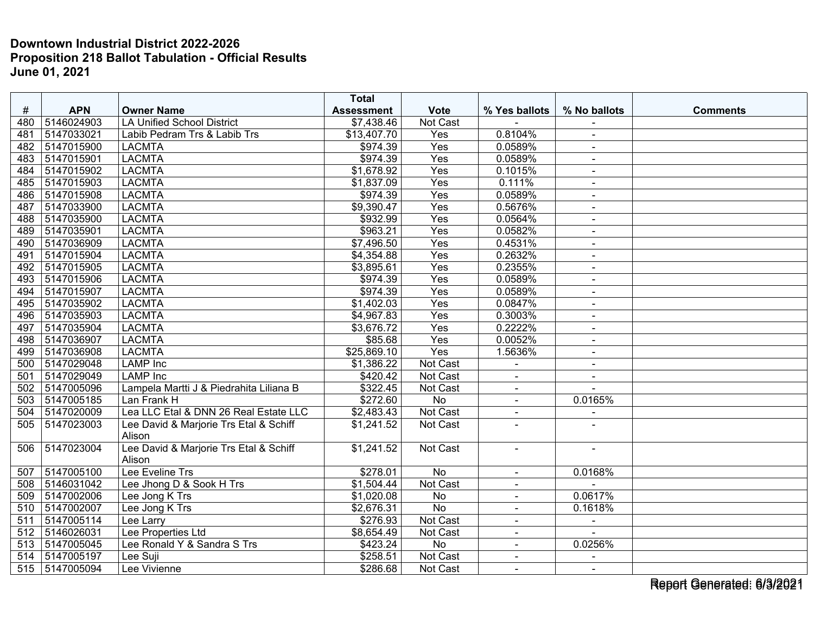| #          | <b>APN</b>     | <b>Owner Name</b>                             | <b>Total</b>                    |                         |                | % No ballots   | <b>Comments</b> |
|------------|----------------|-----------------------------------------------|---------------------------------|-------------------------|----------------|----------------|-----------------|
| 480        | 5146024903     | <b>LA Unified School District</b>             | <b>Assessment</b><br>\$7,438.46 | <b>Vote</b><br>Not Cast | % Yes ballots  |                |                 |
|            | 5147033021     |                                               | \$13,407.70                     | Yes                     | 0.8104%        |                |                 |
| 481<br>482 | 5147015900     | Labib Pedram Trs & Labib Trs<br><b>LACMTA</b> | \$974.39                        | Yes                     | 0.0589%        | $\blacksquare$ |                 |
|            |                |                                               |                                 |                         |                | $\blacksquare$ |                 |
| 483        | 5147015901     | <b>LACMTA</b>                                 | \$974.39                        | Yes                     | 0.0589%        | $\blacksquare$ |                 |
| 484        | 5147015902     | <b>LACMTA</b>                                 | \$1,678.92                      | Yes                     | 0.1015%        | $\sim$         |                 |
| 485        | 5147015903     | <b>LACMTA</b>                                 | \$1,837.09                      | Yes                     | 0.111%         | $\blacksquare$ |                 |
| 486        | 5147015908     | <b>LACMTA</b>                                 | \$974.39                        | Yes                     | 0.0589%        | $\sim$         |                 |
| 487        | 5147033900     | <b>LACMTA</b>                                 | \$9,390.47                      | Yes                     | 0.5676%        |                |                 |
| 488        | 5147035900     | <b>LACMTA</b>                                 | \$932.99                        | Yes                     | 0.0564%        | $\blacksquare$ |                 |
| 489        | 5147035901     | <b>LACMTA</b>                                 | \$963.21                        | Yes                     | 0.0582%        | $\blacksquare$ |                 |
| 490        | 5147036909     | <b>LACMTA</b>                                 | \$7,496.50                      | Yes                     | 0.4531%        | $\blacksquare$ |                 |
| 491        | 5147015904     | <b>LACMTA</b>                                 | \$4,354.88                      | $\overline{Yes}$        | 0.2632%        | $\blacksquare$ |                 |
| 492        | 5147015905     | <b>LACMTA</b>                                 | \$3,895.61                      | Yes                     | 0.2355%        | $\blacksquare$ |                 |
| 493        | 5147015906     | <b>LACMTA</b>                                 | \$974.39                        | Yes                     | 0.0589%        | $\sim$         |                 |
| 494        | 5147015907     | <b>LACMTA</b>                                 | \$974.39                        | Yes                     | 0.0589%        |                |                 |
| 495        | 5147035902     | <b>LACMTA</b>                                 | \$1,402.03                      | Yes                     | 0.0847%        | $\sim$         |                 |
| 496        | 5147035903     | <b>LACMTA</b>                                 | \$4,967.83                      | Yes                     | 0.3003%        | $\blacksquare$ |                 |
| 497        | 5147035904     | <b>LACMTA</b>                                 | \$3,676.72                      | Yes                     | 0.2222%        | $\blacksquare$ |                 |
| 498        | 5147036907     | <b>LACMTA</b>                                 | \$85.68                         | Yes                     | 0.0052%        | $\blacksquare$ |                 |
| 499        | 5147036908     | <b>LACMTA</b>                                 | \$25,869.10                     | Yes                     | 1.5636%        | $\blacksquare$ |                 |
| 500        | 5147029048     | <b>LAMP</b> Inc                               | \$1,386.22                      | Not Cast                | $\blacksquare$ | $\blacksquare$ |                 |
| 501        | 5147029049     | <b>LAMP</b> Inc                               | \$420.42                        | Not Cast                |                |                |                 |
| 502        | 5147005096     | Lampela Martti J & Piedrahita Liliana B       | \$322.45                        | Not Cast                | $\blacksquare$ | $\sim$         |                 |
| 503        | 5147005185     | Lan Frank H                                   | \$272.60                        | No                      | $\blacksquare$ | 0.0165%        |                 |
| 504        | 5147020009     | Lea LLC Etal & DNN 26 Real Estate LLC         | \$2,483.43                      | Not Cast                | $\blacksquare$ | $\sim$         |                 |
| 505        | 5147023003     | Lee David & Marjorie Trs Etal & Schiff        | \$1,241.52                      | Not Cast                | $\blacksquare$ |                |                 |
|            |                | Alison                                        |                                 |                         |                |                |                 |
| 506        | 5147023004     | Lee David & Marjorie Trs Etal & Schiff        | \$1,241.52                      | Not Cast                |                |                |                 |
|            |                | Alison                                        |                                 |                         |                |                |                 |
| 507        | 5147005100     | Lee Eveline Trs                               | \$278.01                        | <b>No</b>               | $\blacksquare$ | 0.0168%        |                 |
| 508        | 5146031042     | Lee Jhong D & Sook H Trs                      | \$1,504.44                      | Not Cast                | $\blacksquare$ |                |                 |
| 509        | 5147002006     | Lee Jong K Trs                                | \$1,020.08                      | <b>No</b>               | $\blacksquare$ | 0.0617%        |                 |
| 510        | 5147002007     | Lee Jong K Trs                                | \$2,676.31                      | No                      | $\blacksquare$ | 0.1618%        |                 |
| 511        | 5147005114     | Lee Larry                                     | \$276.93                        | Not Cast                | $\blacksquare$ | $\sim$         |                 |
| 512        | 5146026031     | Lee Properties Ltd                            | \$8,654.49                      | Not Cast                | $\blacksquare$ |                |                 |
| 513        | 5147005045     | Lee Ronald Y & Sandra S Trs                   | \$423.24                        | No                      |                | 0.0256%        |                 |
| 514        | 5147005197     | Lee Suji                                      | \$258.51                        | Not Cast                | $\blacksquare$ |                |                 |
|            | 515 5147005094 | Lee Vivienne                                  | \$286.68                        | Not Cast                | $\sim$         | $\blacksquare$ |                 |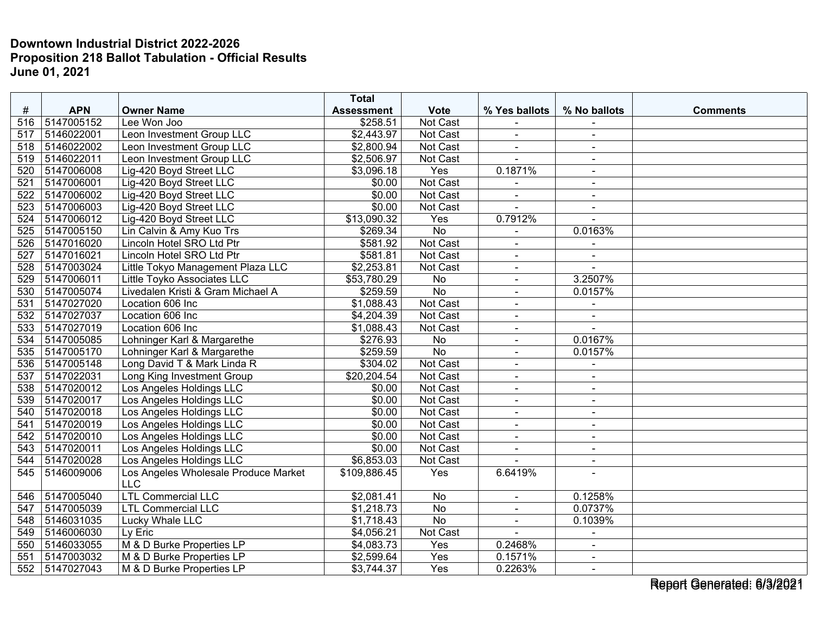|                  |            |                                      | <b>Total</b>      |                 |                |                |                 |
|------------------|------------|--------------------------------------|-------------------|-----------------|----------------|----------------|-----------------|
| #                | <b>APN</b> | <b>Owner Name</b>                    | <b>Assessment</b> | <b>Vote</b>     | % Yes ballots  | % No ballots   | <b>Comments</b> |
| 516              | 5147005152 | Lee Won Joo                          | \$258.51          | Not Cast        |                |                |                 |
| 517              | 5146022001 | Leon Investment Group LLC            | \$2,443.97        | <b>Not Cast</b> | $\blacksquare$ | $\blacksquare$ |                 |
| 518              | 5146022002 | Leon Investment Group LLC            | \$2,800.94        | Not Cast        |                |                |                 |
| 519              | 5146022011 | Leon Investment Group LLC            | \$2,506.97        | Not Cast        |                | $\blacksquare$ |                 |
| 520              | 5147006008 | Lig-420 Boyd Street LLC              | \$3,096.18        | Yes             | 0.1871%        | $\blacksquare$ |                 |
| 521              | 5147006001 | Lig-420 Boyd Street LLC              | \$0.00            | Not Cast        |                | $\blacksquare$ |                 |
| 522              | 5147006002 | Lig-420 Boyd Street LLC              | \$0.00            | Not Cast        |                |                |                 |
| 523              | 5147006003 | Lig-420 Boyd Street LLC              | \$0.00            | Not Cast        | $\blacksquare$ | $\blacksquare$ |                 |
| 524              | 5147006012 | Lig-420 Boyd Street LLC              | \$13,090.32       | Yes             | 0.7912%        |                |                 |
| 525              | 5147005150 | Lin Calvin & Amy Kuo Trs             | \$269.34          | <b>No</b>       |                | 0.0163%        |                 |
| 526              | 5147016020 | Lincoln Hotel SRO Ltd Ptr            | \$581.92          | <b>Not Cast</b> | $\blacksquare$ |                |                 |
| $\overline{527}$ | 5147016021 | Lincoln Hotel SRO Ltd Ptr            | \$581.81          | Not Cast        | $\blacksquare$ | $\blacksquare$ |                 |
| 528              | 5147003024 | Little Tokyo Management Plaza LLC    | \$2,253.81        | Not Cast        | $\blacksquare$ |                |                 |
| 529              | 5147006011 | Little Toyko Associates LLC          | \$53,780.29       | <b>No</b>       |                | 3.2507%        |                 |
| 530              | 5147005074 | Livedalen Kristi & Gram Michael A    | \$259.59          | $\overline{No}$ | $\blacksquare$ | 0.0157%        |                 |
| 531              | 5147027020 | Location 606 Inc                     | \$1,088.43        | Not Cast        | $\blacksquare$ | $\sim$         |                 |
| 532              | 5147027037 | Location 606 Inc                     | \$4,204.39        | Not Cast        | $\blacksquare$ | $\blacksquare$ |                 |
| 533              | 5147027019 | Location 606 Inc                     | \$1,088.43        | Not Cast        | $\blacksquare$ |                |                 |
| 534              | 5147005085 | Lohninger Karl & Margarethe          | \$276.93          | No              | $\blacksquare$ | 0.0167%        |                 |
| 535              | 5147005170 | Lohninger Karl & Margarethe          | \$259.59          | <b>No</b>       | $\blacksquare$ | 0.0157%        |                 |
| 536              | 5147005148 | Long David T & Mark Linda R          | \$304.02          | Not Cast        | $\blacksquare$ | $\blacksquare$ |                 |
| 537              | 5147022031 | <b>Long King Investment Group</b>    | \$20,204.54       | Not Cast        | $\overline{a}$ | $\sim$         |                 |
| 538              | 5147020012 | Los Angeles Holdings LLC             | \$0.00            | Not Cast        | $\blacksquare$ | $\sim$         |                 |
| 539              | 5147020017 | Los Angeles Holdings LLC             | \$0.00            | Not Cast        | $\blacksquare$ | $\sim$         |                 |
| 540              | 5147020018 | Los Angeles Holdings LLC             | \$0.00            | Not Cast        | $\blacksquare$ | $\sim$         |                 |
| 541              | 5147020019 | Los Angeles Holdings LLC             | \$0.00            | Not Cast        | $\blacksquare$ | $\blacksquare$ |                 |
| $\overline{542}$ | 5147020010 | Los Angeles Holdings LLC             | \$0.00            | Not Cast        | $\blacksquare$ | $\sim$         |                 |
| 543              | 5147020011 | Los Angeles Holdings LLC             | \$0.00            | Not Cast        | $\blacksquare$ | $\overline{a}$ |                 |
| 544              | 5147020028 | Los Angeles Holdings LLC             | \$6,853.03        | Not Cast        |                |                |                 |
| 545              | 5146009006 | Los Angeles Wholesale Produce Market | \$109,886.45      | Yes             | 6.6419%        | $\overline{a}$ |                 |
|                  |            | <b>LLC</b>                           |                   |                 |                |                |                 |
| 546              | 5147005040 | <b>LTL Commercial LLC</b>            | \$2,081.41        | No              | $\blacksquare$ | 0.1258%        |                 |
| 547              | 5147005039 | <b>LTL Commercial LLC</b>            | \$1,218.73        | <b>No</b>       | $\blacksquare$ | 0.0737%        |                 |
| 548              | 5146031035 | Lucky Whale LLC                      | \$1,718.43        | No              | $\blacksquare$ | 0.1039%        |                 |
| 549              | 5146006030 | Ly Eric                              | \$4,056.21        | Not Cast        |                | $\blacksquare$ |                 |
| 550              | 5146033055 | M & D Burke Properties LP            | \$4,083.73        | Yes             | 0.2468%        |                |                 |
| 551              | 5147003032 | M & D Burke Properties LP            | \$2,599.64        | Yes             | 0.1571%        | $\blacksquare$ |                 |
| 552              | 5147027043 | M & D Burke Properties LP            | \$3,744.37        | Yes             | 0.2263%        | $\sim$         |                 |

Report Generated: 6/3/2021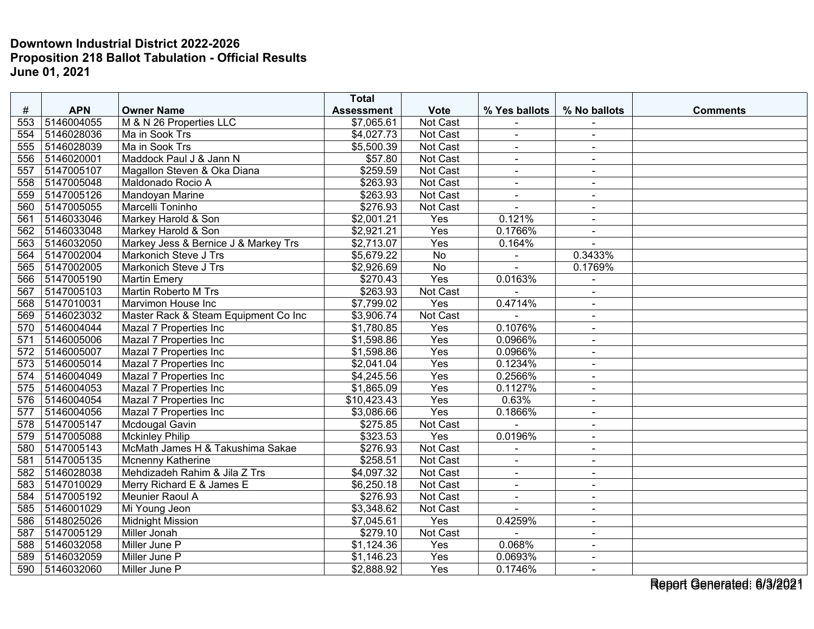|     |            |                                      | <b>Total</b>      |                 |                |                |                 |
|-----|------------|--------------------------------------|-------------------|-----------------|----------------|----------------|-----------------|
| #   | <b>APN</b> | <b>Owner Name</b>                    | <b>Assessment</b> | <b>Vote</b>     | % Yes ballots  | % No ballots   | <b>Comments</b> |
| 553 | 5146004055 | M & N 26 Properties LLC              | \$7,065.61        | Not Cast        |                |                |                 |
| 554 | 5146028036 | Ma in Sook Trs                       | \$4,027.73        | <b>Not Cast</b> | $\blacksquare$ | $\sim$         |                 |
| 555 | 5146028039 | Ma in Sook Trs                       | \$5,500.39        | Not Cast        | $\blacksquare$ | $\blacksquare$ |                 |
| 556 | 5146020001 | Maddock Paul J & Jann N              | \$57.80           | Not Cast        | $\blacksquare$ | $\blacksquare$ |                 |
| 557 | 5147005107 | Magallon Steven & Oka Diana          | \$259.59          | Not Cast        | $\sim$         | $\blacksquare$ |                 |
| 558 | 5147005048 | Maldonado Rocio A                    | \$263.93          | Not Cast        | $\sim$         | $\blacksquare$ |                 |
| 559 | 5147005126 | Mandoyan Marine                      | \$263.93          | Not Cast        |                |                |                 |
| 560 | 5147005055 | Marcelli Toninho                     | \$276.93          | Not Cast        | ÷.             | $\sim$         |                 |
| 561 | 5146033046 | Markey Harold & Son                  | \$2,001.21        | Yes             | 0.121%         | $\blacksquare$ |                 |
| 562 | 5146033048 | Markey Harold & Son                  | \$2,921.21        | Yes             | 0.1766%        | $\sim$         |                 |
| 563 | 5146032050 | Markey Jess & Bernice J & Markey Trs | \$2,713.07        | Yes             | 0.164%         |                |                 |
| 564 | 5147002004 | Markonich Steve J Trs                | \$5,679.22        | $\overline{No}$ | $\blacksquare$ | 0.3433%        |                 |
| 565 | 5147002005 | Markonich Steve J Trs                | \$2,926.69        | <b>No</b>       |                | 0.1769%        |                 |
| 566 | 5147005190 | <b>Martin Emery</b>                  | \$270.43          | Yes             | 0.0163%        |                |                 |
| 567 | 5147005103 | <b>Martin Roberto M Trs</b>          | \$263.93          | Not Cast        |                | $\blacksquare$ |                 |
| 568 | 5147010031 | Marvimon House Inc                   | \$7,799.02        | Yes             | 0.4714%        | $\sim$         |                 |
| 569 | 5146023032 | Master Rack & Steam Equipment Co Inc | \$3,906.74        | <b>Not Cast</b> |                | $\blacksquare$ |                 |
| 570 | 5146004044 | Mazal 7 Properties Inc               | \$1,780.85        | Yes             | 0.1076%        | $\blacksquare$ |                 |
| 571 | 5146005006 | Mazal 7 Properties Inc               | \$1,598.86        | Yes             | 0.0966%        | $\sim$         |                 |
| 572 | 5146005007 | Mazal 7 Properties Inc               | \$1,598.86        | Yes             | 0.0966%        | $\sim$         |                 |
| 573 | 5146005014 | Mazal 7 Properties Inc               | \$2,041.04        | Yes             | 0.1234%        | $\blacksquare$ |                 |
| 574 | 5146004049 | Mazal 7 Properties Inc               | \$4,245.56        | Yes             | 0.2566%        |                |                 |
| 575 | 5146004053 | Mazal 7 Properties Inc               | \$1,865.09        | Yes             | 0.1127%        | $\blacksquare$ |                 |
| 576 | 5146004054 | Mazal 7 Properties Inc               | \$10,423.43       | Yes             | 0.63%          | $\blacksquare$ |                 |
| 577 | 5146004056 | Mazal 7 Properties Inc               | \$3,086.66        | Yes             | 0.1866%        | $\sim$         |                 |
| 578 | 5147005147 | Mcdougal Gavin                       | \$275.85          | Not Cast        |                | $\blacksquare$ |                 |
| 579 | 5147005088 | <b>Mckinley Philip</b>               | \$323.53          | Yes             | 0.0196%        | $\sim$         |                 |
| 580 | 5147005143 | McMath James H & Takushima Sakae     | \$276.93          | Not Cast        |                | $\sim$         |                 |
| 581 | 5147005135 | Mcnenny Katherine                    | \$258.51          | Not Cast        |                |                |                 |
| 582 | 5146028038 | Mehdizadeh Rahim & Jila Z Trs        | \$4,097.32        | Not Cast        | $\mathbf{r}$   | $\sim$         |                 |
| 583 | 5147010029 | Merry Richard E & James E            | \$6,250.18        | Not Cast        | $\blacksquare$ | $\sim$         |                 |
| 584 | 5147005192 | Meunier Raoul A                      | \$276.93          | Not Cast        | $\blacksquare$ | $\blacksquare$ |                 |
| 585 | 5146001029 | Mi Young Jeon                        | \$3,348.62        | Not Cast        |                |                |                 |
| 586 | 5148025026 | <b>Midnight Mission</b>              | \$7,045.61        | Yes             | 0.4259%        | $\blacksquare$ |                 |
| 587 | 5147005129 | Miller Jonah                         | \$279.10          | Not Cast        |                | $\sim$         |                 |
| 588 | 5146032058 | Miller June P                        | \$1,124.36        | Yes             | 0.068%         | $\blacksquare$ |                 |
| 589 | 5146032059 | Miller June P                        | \$1,146.23        | Yes             | 0.0693%        |                |                 |
| 590 | 5146032060 | Miller June P                        | \$2,888.92        | Yes             | 0.1746%        | $\sim$         |                 |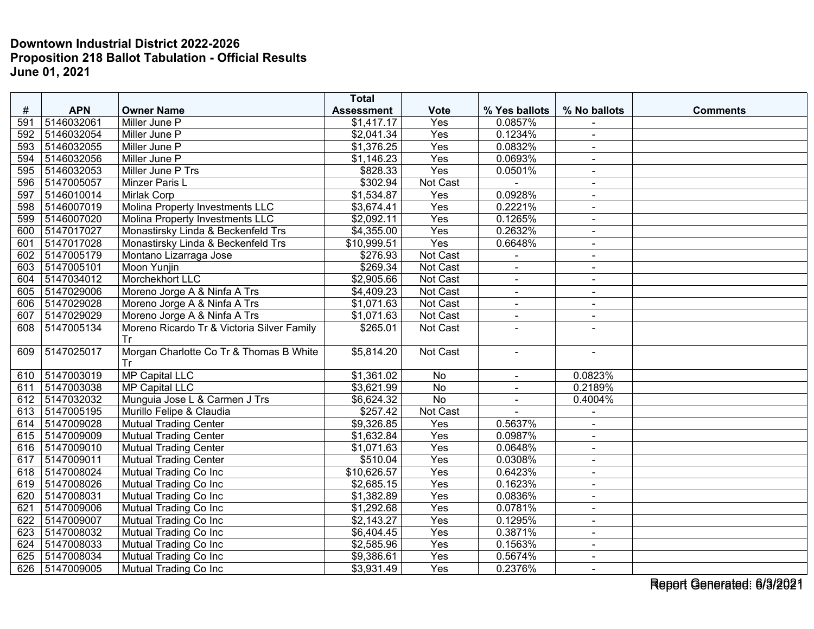|     |            |                                            | <b>Total</b>      |             |                |                          |                 |
|-----|------------|--------------------------------------------|-------------------|-------------|----------------|--------------------------|-----------------|
| #   | <b>APN</b> | <b>Owner Name</b>                          | <b>Assessment</b> | <b>Vote</b> | % Yes ballots  | % No ballots             | <b>Comments</b> |
| 591 | 5146032061 | Miller June P                              | \$1,417.17        | Yes         | 0.0857%        |                          |                 |
| 592 | 5146032054 | Miller June P                              | \$2,041.34        | Yes         | 0.1234%        | $\sim$                   |                 |
| 593 | 5146032055 | Miller June P                              | \$1,376.25        | Yes         | 0.0832%        | $\blacksquare$           |                 |
| 594 | 5146032056 | Miller June P                              | \$1,146.23        | Yes         | 0.0693%        |                          |                 |
| 595 | 5146032053 | Miller June P Trs                          | \$828.33          | Yes         | 0.0501%        | $\blacksquare$           |                 |
| 596 | 5147005057 | Minzer Paris L                             | \$302.94          | Not Cast    |                | $\sim$                   |                 |
| 597 | 5146010014 | <b>Mirlak Corp</b>                         | \$1,534.87        | Yes         | 0.0928%        | $\sim$                   |                 |
| 598 | 5146007019 | Molina Property Investments LLC            | \$3,674.41        | Yes         | 0.2221%        |                          |                 |
| 599 | 5146007020 | Molina Property Investments LLC            | \$2,092.11        | Yes         | 0.1265%        | $\sim$                   |                 |
| 600 | 5147017027 | Monastirsky Linda & Beckenfeld Trs         | \$4,355.00        | Yes         | 0.2632%        | $\sim$                   |                 |
| 601 | 5147017028 | Monastirsky Linda & Beckenfeld Trs         | \$10,999.51       | Yes         | 0.6648%        | $\overline{\phantom{a}}$ |                 |
| 602 | 5147005179 | Montano Lizarraga Jose                     | \$276.93          | Not Cast    |                | $\blacksquare$           |                 |
| 603 | 5147005101 | Moon Yunjin                                | \$269.34          | Not Cast    |                | $\sim$                   |                 |
| 604 | 5147034012 | Morchekhort LLC                            | \$2,905.66        | Not Cast    |                | $\blacksquare$           |                 |
| 605 | 5147029006 | Moreno Jorge A & Ninfa A Trs               | \$4,409.23        | Not Cast    |                |                          |                 |
| 606 | 5147029028 | Moreno Jorge A & Ninfa A Trs               | \$1,071.63        | Not Cast    | $\blacksquare$ | $\blacksquare$           |                 |
| 607 | 5147029029 | Moreno Jorge A & Ninfa A Trs               | \$1,071.63        | Not Cast    | $\blacksquare$ | $\sim$                   |                 |
| 608 | 5147005134 | Moreno Ricardo Tr & Victoria Silver Family | \$265.01          | Not Cast    | $\sim$         |                          |                 |
|     |            | Tr                                         |                   |             |                |                          |                 |
| 609 | 5147025017 | Morgan Charlotte Co Tr & Thomas B White    | \$5,814.20        | Not Cast    | $\blacksquare$ |                          |                 |
|     |            | Tr                                         |                   |             |                |                          |                 |
| 610 | 5147003019 | <b>MP Capital LLC</b>                      | \$1,361.02        | No          | $\blacksquare$ | 0.0823%                  |                 |
| 611 | 5147003038 | MP Capital LLC                             | \$3,621.99        | No          | $\blacksquare$ | 0.2189%                  |                 |
| 612 | 5147032032 | Munguia Jose L & Carmen J Trs              | \$6,624.32        | <b>No</b>   | $\blacksquare$ | 0.4004%                  |                 |
| 613 | 5147005195 | Murillo Felipe & Claudia                   | \$257.42          | Not Cast    |                |                          |                 |
| 614 | 5147009028 | <b>Mutual Trading Center</b>               | \$9,326.85        | Yes         | 0.5637%        | $\sim$                   |                 |
| 615 | 5147009009 | <b>Mutual Trading Center</b>               | \$1,632.84        | Yes         | 0.0987%        | $\sim$                   |                 |
| 616 | 5147009010 | <b>Mutual Trading Center</b>               | \$1,071.63        | Yes         | 0.0648%        | $\sim$                   |                 |
| 617 | 5147009011 | Mutual Trading Center                      | \$510.04          | Yes         | 0.0308%        |                          |                 |
| 618 | 5147008024 | Mutual Trading Co Inc                      | \$10,626.57       | Yes         | 0.6423%        | $\blacksquare$           |                 |
| 619 | 5147008026 | Mutual Trading Co Inc                      | \$2,685.15        | Yes         | 0.1623%        | $\blacksquare$           |                 |
| 620 | 5147008031 | Mutual Trading Co Inc                      | \$1,382.89        | Yes         | 0.0836%        | $\blacksquare$           |                 |
| 621 | 5147009006 | Mutual Trading Co Inc                      | \$1,292.68        | Yes         | 0.0781%        | $\blacksquare$           |                 |
| 622 | 5147009007 | Mutual Trading Co Inc                      | \$2,143.27        | Yes         | 0.1295%        | $\sim$                   |                 |
| 623 | 5147008032 | Mutual Trading Co Inc                      | \$6,404.45        | Yes         | 0.3871%        | $\sim$                   |                 |
| 624 | 5147008033 | Mutual Trading Co Inc                      | \$2,585.96        | Yes         | 0.1563%        |                          |                 |
| 625 | 5147008034 | Mutual Trading Co Inc                      | \$9,386.61        | Yes         | 0.5674%        | $\sim$                   |                 |
| 626 | 5147009005 | Mutual Trading Co Inc                      | \$3,931.49        | Yes         | 0.2376%        | $\sim$                   |                 |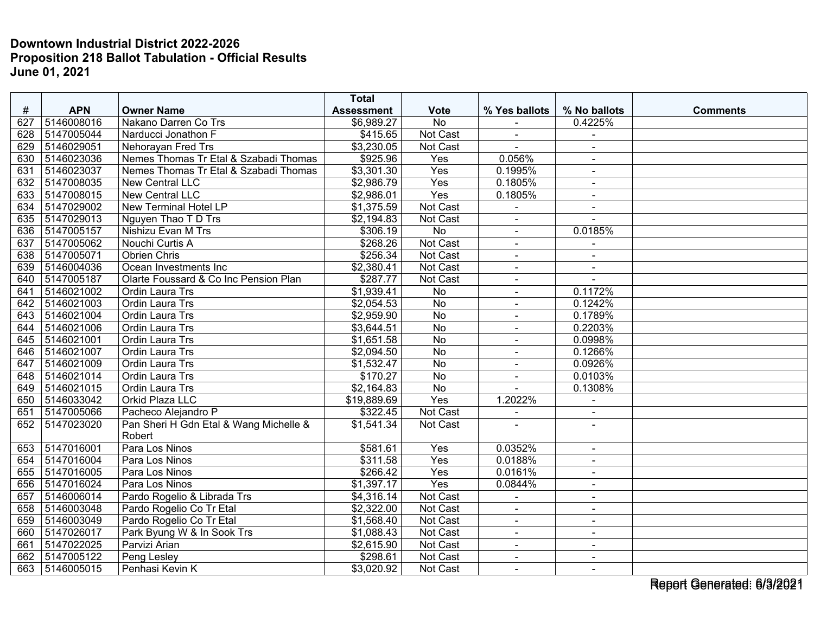|     |            |                                        | <b>Total</b>      |                 |                       |                          |                 |
|-----|------------|----------------------------------------|-------------------|-----------------|-----------------------|--------------------------|-----------------|
| #   | <b>APN</b> | <b>Owner Name</b>                      | <b>Assessment</b> | <b>Vote</b>     | % Yes ballots         | % No ballots             | <b>Comments</b> |
| 627 | 5146008016 | Nakano Darren Co Trs                   | \$6,989.27        | No              |                       | 0.4225%                  |                 |
| 628 | 5147005044 | Narducci Jonathon F                    | \$415.65          | Not Cast        | $\blacksquare$        | $\blacksquare$           |                 |
| 629 | 5146029051 | Nehorayan Fred Trs                     | \$3,230.05        | Not Cast        |                       | $\sim$                   |                 |
| 630 | 5146023036 | Nemes Thomas Tr Etal & Szabadi Thomas  | \$925.96          | Yes             | 0.056%                |                          |                 |
| 631 | 5146023037 | Nemes Thomas Tr Etal & Szabadi Thomas  | \$3,301.30        | Yes             | 0.1995%               | $\sim$                   |                 |
| 632 | 5147008035 | <b>New Central LLC</b>                 | \$2,986.79        | Yes             | 0.1805%               | $\sim$                   |                 |
| 633 | 5147008015 | New Central LLC                        | \$2,986.01        | Yes             | 0.1805%               | $\blacksquare$           |                 |
| 634 | 5147029002 | New Terminal Hotel LP                  | \$1,375.59        | Not Cast        |                       | $\sim$                   |                 |
| 635 | 5147029013 | Nguyen Thao T D Trs                    | \$2,194.83        | Not Cast        | $\blacksquare$        | $\sim$                   |                 |
| 636 | 5147005157 | Nishizu Evan M Trs                     | \$306.19          | No              | $\blacksquare$        | 0.0185%                  |                 |
| 637 | 5147005062 | Nouchi Curtis A                        | \$268.26          | Not Cast        |                       |                          |                 |
| 638 | 5147005071 | Obrien Chris                           | \$256.34          | Not Cast        | $\blacksquare$        | $\sim$                   |                 |
| 639 | 5146004036 | Ocean Investments Inc                  | \$2,380.41        | Not Cast        | $\blacksquare$        | $\sim$                   |                 |
| 640 | 5147005187 | Olarte Foussard & Co Inc Pension Plan  | \$287.77          | Not Cast        |                       |                          |                 |
| 641 | 5146021002 | Ordin Laura Trs                        | \$1,939.41        | No              | $\overline{a}$        | 0.1172%                  |                 |
| 642 | 5146021003 | Ordin Laura Trs                        | \$2,054.53        | No              | $\blacksquare$        | 0.1242%                  |                 |
| 643 | 5146021004 | Ordin Laura Trs                        | \$2,959.90        | No              | $\blacksquare$        | 0.1789%                  |                 |
| 644 | 5146021006 | <b>Ordin Laura Trs</b>                 | \$3,644.51        | $\overline{No}$ | $\blacksquare$        | 0.2203%                  |                 |
| 645 | 5146021001 | Ordin Laura Trs                        | \$1,651.58        | No              | $\tilde{\phantom{a}}$ | 0.0998%                  |                 |
| 646 | 5146021007 | Ordin Laura Trs                        | \$2,094.50        | <b>No</b>       | $\sim$                | 0.1266%                  |                 |
| 647 | 5146021009 | Ordin Laura Trs                        | \$1,532.47        | $\overline{No}$ |                       | 0.0926%                  |                 |
| 648 | 5146021014 | Ordin Laura Trs                        | \$170.27          | No              | $\blacksquare$        | 0.0103%                  |                 |
| 649 | 5146021015 | <b>Ordin Laura Trs</b>                 | \$2,164.83        | No              | $\overline{a}$        | 0.1308%                  |                 |
| 650 | 5146033042 | <b>Orkid Plaza LLC</b>                 | \$19,889.69       | Yes             | 1.2022%               | $\blacksquare$           |                 |
| 651 | 5147005066 | Pacheco Alejandro P                    | \$322.45          | Not Cast        |                       |                          |                 |
| 652 | 5147023020 | Pan Sheri H Gdn Etal & Wang Michelle & | \$1,541.34        | Not Cast        |                       |                          |                 |
|     |            | Robert                                 |                   |                 |                       |                          |                 |
| 653 | 5147016001 | Para Los Ninos                         | \$581.61          | Yes             | 0.0352%               |                          |                 |
| 654 | 5147016004 | Para Los Ninos                         | \$311.58          | Yes             | 0.0188%               | $\sim$                   |                 |
| 655 | 5147016005 | Para Los Ninos                         | \$266.42          | Yes             | 0.0161%               | $\blacksquare$           |                 |
| 656 | 5147016024 | Para Los Ninos                         | \$1,397.17        | Yes             | 0.0844%               | $\sim$                   |                 |
| 657 | 5146006014 | Pardo Rogelio & Librada Trs            | \$4,316.14        | Not Cast        |                       | $\blacksquare$           |                 |
| 658 | 5146003048 | Pardo Rogelio Co Tr Etal               | \$2,322.00        | Not Cast        |                       | $\blacksquare$           |                 |
| 659 | 5146003049 | Pardo Rogelio Co Tr Etal               | \$1,568.40        | Not Cast        | $\blacksquare$        | $\overline{\phantom{a}}$ |                 |
| 660 | 5147026017 | Park Byung W & In Sook Trs             | \$1,088.43        | Not Cast        |                       |                          |                 |
| 661 | 5147022025 | Parvizi Arian                          | \$2,615.90        | Not Cast        | $\sim$                | $\sim$                   |                 |
| 662 | 5147005122 | Peng Lesley                            | \$298.61          | Not Cast        | $\blacksquare$        | $\sim$                   |                 |
| 663 | 5146005015 | Penhasi Kevin K                        | \$3,020.92        | Not Cast        |                       |                          |                 |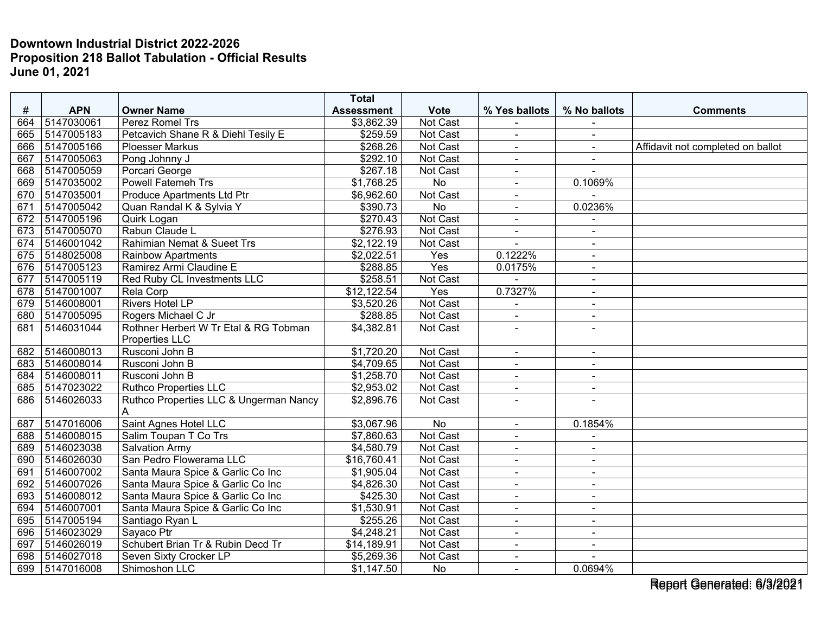|     |                |                                        | <b>Total</b>      |                 |                |                          |                                   |
|-----|----------------|----------------------------------------|-------------------|-----------------|----------------|--------------------------|-----------------------------------|
| #   | <b>APN</b>     | <b>Owner Name</b>                      | <b>Assessment</b> | <b>Vote</b>     | % Yes ballots  | % No ballots             | <b>Comments</b>                   |
| 664 | 5147030061     | Perez Romel Trs                        | \$3,862.39        | Not Cast        |                |                          |                                   |
| 665 | 5147005183     | Petcavich Shane R & Diehl Tesily E     | \$259.59          | <b>Not Cast</b> | $\overline{a}$ | $\blacksquare$           |                                   |
| 666 | 5147005166     | <b>Ploesser Markus</b>                 | \$268.26          | Not Cast        | $\blacksquare$ | $\blacksquare$           | Affidavit not completed on ballot |
| 667 | 5147005063     | Pong Johnny J                          | \$292.10          | Not Cast        | $\sim$         | $\blacksquare$           |                                   |
| 668 | 5147005059     | Porcari George                         | \$267.18          | <b>Not Cast</b> | $\sim$         | $\sim$                   |                                   |
| 669 | 5147035002     | <b>Powell Fatemeh Trs</b>              | \$1,768.25        | $\overline{No}$ | $\blacksquare$ | 0.1069%                  |                                   |
| 670 | 5147035001     | Produce Apartments Ltd Ptr             | \$6,962.60        | Not Cast        |                |                          |                                   |
| 671 | 5147005042     | Quan Randal K & Sylvia Y               | \$390.73          | No              | $\sim$         | 0.0236%                  |                                   |
| 672 | 5147005196     | Quirk Logan                            | \$270.43          | Not Cast        | $\blacksquare$ | $\blacksquare$           |                                   |
| 673 | 5147005070     | Rabun Claude L                         | \$276.93          | Not Cast        | $\sim$         | $\blacksquare$           |                                   |
| 674 | 5146001042     | Rahimian Nemat & Sueet Trs             | \$2,122.19        | Not Cast        |                | $\blacksquare$           |                                   |
| 675 | 5148025008     | <b>Rainbow Apartments</b>              | \$2,022.51        | Yes             | 0.1222%        | $\sim$                   |                                   |
| 676 | 5147005123     | Ramirez Armi Claudine E                | \$288.85          | Yes             | 0.0175%        | $\blacksquare$           |                                   |
| 677 | 5147005119     | Red Ruby CL Investments LLC            | \$258.51          | Not Cast        |                |                          |                                   |
| 678 | 5147001007     | <b>Rela Corp</b>                       | \$12,122.54       | Yes             | 0.7327%        | $\blacksquare$           |                                   |
| 679 | 5146008001     | <b>Rivers Hotel LP</b>                 | \$3,520.26        | Not Cast        | $\overline{a}$ | $\blacksquare$           |                                   |
| 680 | 5147005095     | Rogers Michael C Jr                    | \$288.85          | <b>Not Cast</b> | $\blacksquare$ | $\blacksquare$           |                                   |
| 681 | 5146031044     | Rothner Herbert W Tr Etal & RG Tobman  | \$4,382.81        | Not Cast        | $\sim$         |                          |                                   |
|     |                | Properties LLC                         |                   |                 |                |                          |                                   |
| 682 | 5146008013     | Rusconi John B                         | \$1,720.20        | <b>Not Cast</b> |                | $\blacksquare$           |                                   |
| 683 | 5146008014     | Rusconi John B                         | \$4,709.65        | Not Cast        |                |                          |                                   |
| 684 | 5146008011     | Rusconi John B                         | \$1,258.70        | <b>Not Cast</b> | $\sim$         | $\blacksquare$           |                                   |
| 685 | 5147023022     | <b>Ruthco Properties LLC</b>           | \$2,953.02        | Not Cast        | $\sim$         | $\blacksquare$           |                                   |
| 686 | 5146026033     | Ruthco Properties LLC & Ungerman Nancy | \$2,896.76        | Not Cast        | $\sim$         | $\sim$                   |                                   |
|     |                |                                        |                   |                 |                |                          |                                   |
| 687 | 5147016006     | Saint Agnes Hotel LLC                  | \$3,067.96        | <b>No</b>       | $\overline{a}$ | 0.1854%                  |                                   |
| 688 | 5146008015     | Salim Toupan T Co Trs                  | \$7,860.63        | Not Cast        |                |                          |                                   |
| 689 | 5146023038     | <b>Salvation Army</b>                  | \$4,580.79        | Not Cast        | $\overline{a}$ | $\overline{\phantom{a}}$ |                                   |
| 690 | 5146026030     | San Pedro Flowerama LLC                | \$16,760.41       | Not Cast        | $\overline{a}$ | $\blacksquare$           |                                   |
| 691 | 5146007002     | Santa Maura Spice & Garlic Co Inc      | \$1,905.04        | <b>Not Cast</b> | $\sim$         | $\blacksquare$           |                                   |
| 692 | 5146007026     | Santa Maura Spice & Garlic Co Inc      | \$4,826.30        | Not Cast        | $\sim$         | $\sim$                   |                                   |
| 693 | 5146008012     | Santa Maura Spice & Garlic Co Inc      | \$425.30          | Not Cast        | $\overline{a}$ | $\blacksquare$           |                                   |
| 694 | 5146007001     | Santa Maura Spice & Garlic Co Inc      | \$1,530.91        | Not Cast        | $\overline{a}$ | $\blacksquare$           |                                   |
| 695 | 5147005194     | Santiago Ryan L                        | \$255.26          | Not Cast        | $\blacksquare$ | $\sim$                   |                                   |
| 696 | 5146023029     | Sayaco Ptr                             | \$4,248.21        | Not Cast        | $\overline{a}$ |                          |                                   |
| 697 | 5146026019     | Schubert Brian Tr & Rubin Decd Tr      | \$14,189.91       | Not Cast        | $\sim$         | $\sim$                   |                                   |
| 698 | 5146027018     | Seven Sixty Crocker LP                 | \$5,269.36        | <b>Not Cast</b> | $\sim$         |                          |                                   |
|     | 699 5147016008 | Shimoshon LLC                          | \$1,147.50        | No              | $\sim$         | 0.0694%                  |                                   |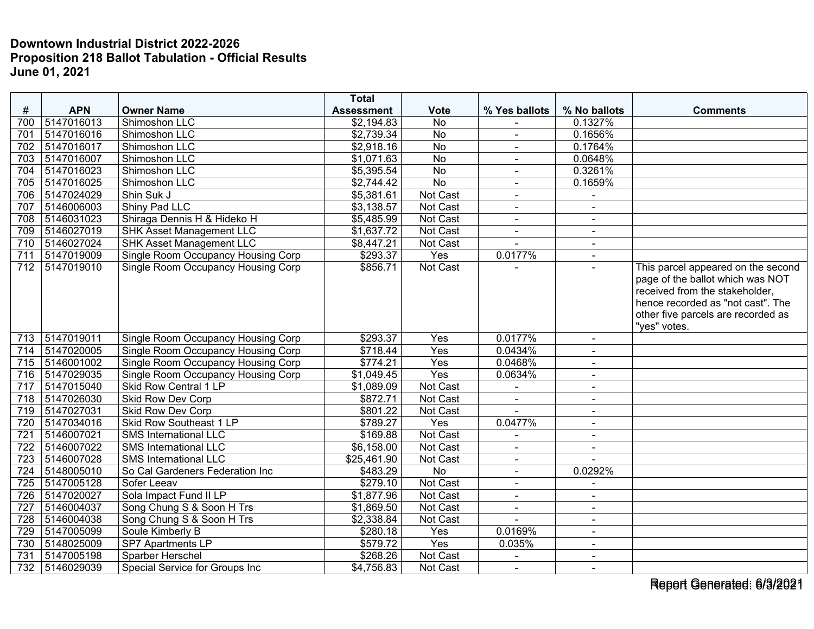|                  |                |                                                             | <b>Total</b>      |                 |                          |                |                                                                                                                                                                                     |
|------------------|----------------|-------------------------------------------------------------|-------------------|-----------------|--------------------------|----------------|-------------------------------------------------------------------------------------------------------------------------------------------------------------------------------------|
| #                | <b>APN</b>     | <b>Owner Name</b>                                           | <b>Assessment</b> | <b>Vote</b>     | % Yes ballots            | % No ballots   | <b>Comments</b>                                                                                                                                                                     |
| 700              | 5147016013     | Shimoshon LLC                                               | \$2,194.83        | No              |                          | 0.1327%        |                                                                                                                                                                                     |
| 701              | 5147016016     | Shimoshon LLC                                               | \$2,739.34        | <b>No</b>       | $\blacksquare$           | 0.1656%        |                                                                                                                                                                                     |
| 702              | 5147016017     | Shimoshon LLC                                               | \$2,918.16        | No              | $\blacksquare$           | 0.1764%        |                                                                                                                                                                                     |
| 703              | 5147016007     | Shimoshon LLC                                               | \$1,071.63        | <b>No</b>       | $\overline{\phantom{0}}$ | 0.0648%        |                                                                                                                                                                                     |
| 704              | 5147016023     | Shimoshon LLC                                               | \$5,395.54        | <b>No</b>       | $\blacksquare$           | 0.3261%        |                                                                                                                                                                                     |
| 705              | 5147016025     | Shimoshon LLC                                               | \$2,744.42        | $\overline{No}$ | $\blacksquare$           | 0.1659%        |                                                                                                                                                                                     |
| 706              | 5147024029     | Shin Suk J                                                  | \$5,381.61        | Not Cast        |                          |                |                                                                                                                                                                                     |
| 707              | 5146006003     | Shiny Pad LLC                                               | \$3,138.57        | <b>Not Cast</b> | $\overline{a}$           | $\blacksquare$ |                                                                                                                                                                                     |
| 708              | 5146031023     | Shiraga Dennis H & Hideko H                                 | \$5,485.99        | Not Cast        | $\blacksquare$           | $\blacksquare$ |                                                                                                                                                                                     |
| 709              | 5146027019     | <b>SHK Asset Management LLC</b>                             | \$1,637.72        | Not Cast        | $\blacksquare$           | $\blacksquare$ |                                                                                                                                                                                     |
| 710              | 5146027024     | <b>SHK Asset Management LLC</b>                             | \$8,447.21        | Not Cast        |                          | $\sim$         |                                                                                                                                                                                     |
| 711              | 5147019009     | <b>Single Room Occupancy Housing Corp</b>                   | \$293.37          | Yes             | 0.0177%                  | $\sim$         |                                                                                                                                                                                     |
| 712              | 5147019010     | Single Room Occupancy Housing Corp                          | \$856.71          | Not Cast        |                          |                | This parcel appeared on the second<br>page of the ballot which was NOT<br>received from the stakeholder,<br>hence recorded as "not cast". The<br>other five parcels are recorded as |
|                  | 5147019011     |                                                             | \$293.37          |                 | 0.0177%                  |                | "yes" votes.                                                                                                                                                                        |
| 713              | 5147020005     | Single Room Occupancy Housing Corp                          | \$718.44          | Yes<br>Yes      | 0.0434%                  | $\blacksquare$ |                                                                                                                                                                                     |
| 714<br>715       | 5146001002     | Single Room Occupancy Housing Corp                          | \$774.21          | Yes             | 0.0468%                  | $\blacksquare$ |                                                                                                                                                                                     |
| $\overline{716}$ | 5147029035     | Single Room Occupancy Housing Corp                          |                   | Yes             | 0.0634%                  | $\blacksquare$ |                                                                                                                                                                                     |
|                  | 5147015040     | Single Room Occupancy Housing Corp<br>Skid Row Central 1 LP | \$1,049.45        |                 |                          | $\sim$         |                                                                                                                                                                                     |
| 717              |                |                                                             | \$1,089.09        | Not Cast        |                          | $\sim$         |                                                                                                                                                                                     |
| 718              | 5147026030     | <b>Skid Row Dev Corp</b>                                    | \$872.71          | Not Cast        |                          |                |                                                                                                                                                                                     |
| 719              | 5147027031     | <b>Skid Row Dev Corp</b>                                    | \$801.22          | Not Cast        |                          | $\sim$         |                                                                                                                                                                                     |
| 720              | 5147034016     | Skid Row Southeast 1 LP                                     | \$789.27          | Yes             | 0.0477%                  | $\sim$         |                                                                                                                                                                                     |
| 721              | 5146007021     | <b>SMS International LLC</b>                                | \$169.88          | Not Cast        |                          | $\blacksquare$ |                                                                                                                                                                                     |
| $\overline{722}$ | 5146007022     | <b>SMS International LLC</b>                                | \$6,158.00        | Not Cast        |                          |                |                                                                                                                                                                                     |
| 723              | 5146007028     | <b>SMS International LLC</b>                                | \$25,461.90       | Not Cast        | $\blacksquare$           | $\overline{a}$ |                                                                                                                                                                                     |
| 724              | 5148005010     | So Cal Gardeners Federation Inc<br>Sofer Leeav              | \$483.29          | No              | $\blacksquare$           | 0.0292%        |                                                                                                                                                                                     |
| 725              | 5147005128     |                                                             | \$279.10          | Not Cast        | $\blacksquare$           | $\blacksquare$ |                                                                                                                                                                                     |
| 726              | 5147020027     | Sola Impact Fund II LP                                      | \$1,877.96        | Not Cast        | $\blacksquare$           | $\blacksquare$ |                                                                                                                                                                                     |
| 727              | 5146004037     | Song Chung S & Soon H Trs                                   | \$1,869.50        | Not Cast        | $\blacksquare$           | $\sim$         |                                                                                                                                                                                     |
| 728              | 5146004038     | Song Chung S & Soon H Trs                                   | \$2,338.84        | Not Cast        |                          | $\overline{a}$ |                                                                                                                                                                                     |
| 729              | 5147005099     | Soule Kimberly B                                            | \$280.18          | Yes             | 0.0169%                  | $\blacksquare$ |                                                                                                                                                                                     |
| 730              | 5148025009     | SP7 Apartments LP                                           | \$579.72          | Yes             | 0.035%                   | $\blacksquare$ |                                                                                                                                                                                     |
| 731              | 5147005198     | <b>Sparber Herschel</b>                                     | \$268.26          | Not Cast        | $\blacksquare$           | $\sim$         |                                                                                                                                                                                     |
|                  | 732 5146029039 | Special Service for Groups Inc                              | \$4,756.83        | Not Cast        | $\blacksquare$           | $\blacksquare$ |                                                                                                                                                                                     |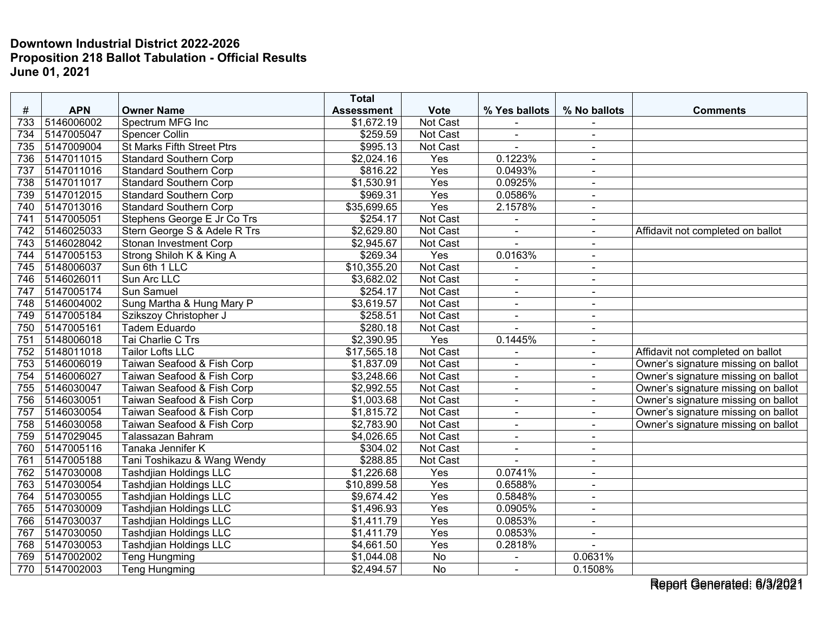|     |            |                                   | <b>Total</b>      |                 |                          |                |                                     |
|-----|------------|-----------------------------------|-------------------|-----------------|--------------------------|----------------|-------------------------------------|
| #   | <b>APN</b> | <b>Owner Name</b>                 | <b>Assessment</b> | <b>Vote</b>     | % Yes ballots            | % No ballots   | <b>Comments</b>                     |
| 733 | 5146006002 | Spectrum MFG Inc                  | \$1,672.19        | Not Cast        |                          |                |                                     |
| 734 | 5147005047 | <b>Spencer Collin</b>             | \$259.59          | <b>Not Cast</b> | $\sim$                   | ÷.             |                                     |
| 735 | 5147009004 | <b>St Marks Fifth Street Ptrs</b> | \$995.13          | Not Cast        |                          | $\blacksquare$ |                                     |
| 736 | 5147011015 | <b>Standard Southern Corp</b>     | \$2,024.16        | Yes             | 0.1223%                  | ۰              |                                     |
| 737 | 5147011016 | <b>Standard Southern Corp</b>     | \$816.22          | Yes             | 0.0493%                  | $\sim$         |                                     |
| 738 | 5147011017 | <b>Standard Southern Corp</b>     | \$1,530.91        | Yes             | 0.0925%                  | $\blacksquare$ |                                     |
| 739 | 5147012015 | <b>Standard Southern Corp</b>     | \$969.31          | Yes             | 0.0586%                  | $\sim$         |                                     |
| 740 | 5147013016 | <b>Standard Southern Corp</b>     | \$35,699.65       | Yes             | 2.1578%                  | ÷              |                                     |
| 741 | 5147005051 | Stephens George E Jr Co Trs       | \$254.17          | Not Cast        |                          | $\blacksquare$ |                                     |
| 742 | 5146025033 | Stern George S & Adele R Trs      | \$2,629.80        | Not Cast        | $\overline{\phantom{a}}$ | $\blacksquare$ | Affidavit not completed on ballot   |
| 743 | 5146028042 | Stonan Investment Corp            | \$2,945.67        | Not Cast        |                          |                |                                     |
| 744 | 5147005153 | Strong Shiloh K & King A          | \$269.34          | Yes             | 0.0163%                  | $\blacksquare$ |                                     |
| 745 | 5148006037 | Sun 6th 1 LLC                     | \$10,355.20       | Not Cast        |                          | $\sim$         |                                     |
| 746 | 5146026011 | Sun Arc LLC                       | \$3,682.02        | <b>Not Cast</b> |                          | $\blacksquare$ |                                     |
| 747 | 5147005174 | Sun Samuel                        | \$254.17          | Not Cast        | $\overline{a}$           | $\blacksquare$ |                                     |
| 748 | 5146004002 | Sung Martha & Hung Mary P         | \$3,619.57        | Not Cast        | $\blacksquare$           | $\blacksquare$ |                                     |
| 749 | 5147005184 | Szikszoy Christopher J            | \$258.51          | <b>Not Cast</b> | $\blacksquare$           | $\blacksquare$ |                                     |
| 750 | 5147005161 | Tadem Eduardo                     | \$280.18          | <b>Not Cast</b> |                          | $\blacksquare$ |                                     |
| 751 | 5148006018 | Tai Charlie C Trs                 | \$2,390.95        | Yes             | 0.1445%                  | $\blacksquare$ |                                     |
| 752 | 5148011018 | <b>Tailor Lofts LLC</b>           | \$17,565.18       | Not Cast        |                          | $\blacksquare$ | Affidavit not completed on ballot   |
| 753 | 5146006019 | Taiwan Seafood & Fish Corp        | \$1,837.09        | Not Cast        | $\blacksquare$           | $\sim$         | Owner's signature missing on ballot |
| 754 | 5146006027 | Taiwan Seafood & Fish Corp        | \$3,248.66        | Not Cast        | L.                       | ÷              | Owner's signature missing on ballot |
| 755 | 5146030047 | Taiwan Seafood & Fish Corp        | \$2,992.55        | Not Cast        | $\blacksquare$           | $\blacksquare$ | Owner's signature missing on ballot |
| 756 | 5146030051 | Taiwan Seafood & Fish Corp        | \$1,003.68        | <b>Not Cast</b> | $\blacksquare$           | $\sim$         | Owner's signature missing on ballot |
| 757 | 5146030054 | Taiwan Seafood & Fish Corp        | \$1,815.72        | Not Cast        | $\overline{\phantom{a}}$ | $\blacksquare$ | Owner's signature missing on ballot |
| 758 | 5146030058 | Taiwan Seafood & Fish Corp        | \$2,783.90        | Not Cast        | $\blacksquare$           | $\blacksquare$ | Owner's signature missing on ballot |
| 759 | 5147029045 | Talassazan Bahram                 | \$4,026.65        | Not Cast        | $\blacksquare$           | $\blacksquare$ |                                     |
| 760 | 5147005116 | Tanaka Jennifer K                 | \$304.02          | Not Cast        | $\blacksquare$           | $\blacksquare$ |                                     |
| 761 | 5147005188 | Tani Toshikazu & Wang Wendy       | \$288.85          | Not Cast        |                          |                |                                     |
| 762 | 5147030008 | <b>Tashdjian Holdings LLC</b>     | \$1,226.68        | Yes             | 0.0741%                  | $\sim$         |                                     |
| 763 | 5147030054 | <b>Tashdjian Holdings LLC</b>     | \$10,899.58       | Yes             | 0.6588%                  | $\blacksquare$ |                                     |
| 764 | 5147030055 | <b>Tashdjian Holdings LLC</b>     | \$9,674.42        | Yes             | 0.5848%                  | $\blacksquare$ |                                     |
| 765 | 5147030009 | <b>Tashdjian Holdings LLC</b>     | \$1,496.93        | Yes             | 0.0905%                  | $\blacksquare$ |                                     |
| 766 | 5147030037 | <b>Tashdjian Holdings LLC</b>     | \$1,411.79        | Yes             | 0.0853%                  | $\blacksquare$ |                                     |
| 767 | 5147030050 | <b>Tashdjian Holdings LLC</b>     | \$1,411.79        | Yes             | 0.0853%                  | $\blacksquare$ |                                     |
| 768 | 5147030053 | <b>Tashdjian Holdings LLC</b>     | \$4,661.50        | Yes             | 0.2818%                  |                |                                     |
| 769 | 5147002002 | Teng Hungming                     | \$1,044.08        | No              |                          | 0.0631%        |                                     |
| 770 | 5147002003 | <b>Teng Hungming</b>              | \$2,494.57        | <b>No</b>       | $\blacksquare$           | 0.1508%        |                                     |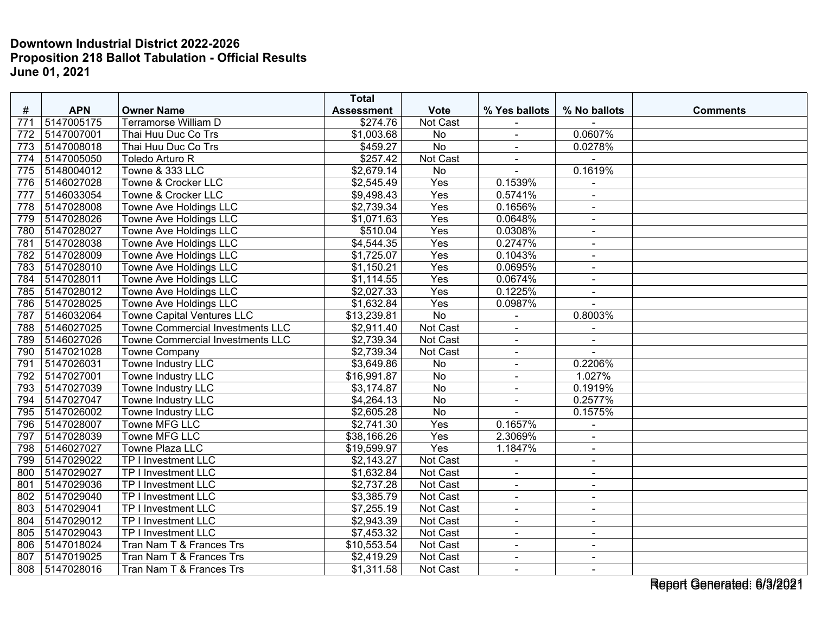|     |            |                                         | <b>Total</b>           |                 |                |                |                 |
|-----|------------|-----------------------------------------|------------------------|-----------------|----------------|----------------|-----------------|
| #   | <b>APN</b> | <b>Owner Name</b>                       | <b>Assessment</b>      | <b>Vote</b>     | % Yes ballots  | % No ballots   | <b>Comments</b> |
| 771 | 5147005175 | <b>Terramorse William D</b>             | \$274.76               | Not Cast        |                |                |                 |
| 772 | 5147007001 | Thai Huu Duc Co Trs                     | \$1,003.68             | No              | $\blacksquare$ | 0.0607%        |                 |
| 773 | 5147008018 | Thai Huu Duc Co Trs                     | \$459.27               | $\overline{No}$ | $\blacksquare$ | 0.0278%        |                 |
| 774 | 5147005050 | Toledo Arturo R                         | \$257.42               | Not Cast        | $\blacksquare$ |                |                 |
| 775 | 5148004012 | Towne & 333 LLC                         | \$2,679.14             | <b>No</b>       | $\overline{a}$ | 0.1619%        |                 |
| 776 | 5146027028 | Towne & Crocker LLC                     | \$2,545.49             | Yes             | 0.1539%        | $\blacksquare$ |                 |
| 777 | 5146033054 | Towne & Crocker LLC                     | \$9,498.43             | Yes             | 0.5741%        | $\overline{a}$ |                 |
| 778 | 5147028008 | Towne Ave Holdings LLC                  | \$2,739.34             | Yes             | 0.1656%        | $\sim$         |                 |
| 779 | 5147028026 | Towne Ave Holdings LLC                  | \$1,071.63             | Yes             | 0.0648%        | $\blacksquare$ |                 |
| 780 | 5147028027 | Towne Ave Holdings LLC                  | \$510.04               | Yes             | 0.0308%        | $\blacksquare$ |                 |
| 781 | 5147028038 | Towne Ave Holdings LLC                  | \$4,544.35             | Yes             | 0.2747%        | $\blacksquare$ |                 |
| 782 | 5147028009 | Towne Ave Holdings LLC                  | \$1,725.07             | Yes             | 0.1043%        | $\blacksquare$ |                 |
| 783 | 5147028010 | Towne Ave Holdings LLC                  | \$1,150.21             | Yes             | 0.0695%        | $\sim$         |                 |
| 784 | 5147028011 | Towne Ave Holdings LLC                  | \$1,114.55             | Yes             | 0.0674%        |                |                 |
| 785 | 5147028012 | <b>Towne Ave Holdings LLC</b>           | \$2,027.33             | Yes             | 0.1225%        | $\sim$         |                 |
| 786 | 5147028025 | Towne Ave Holdings LLC                  | \$1,632.84             | Yes             | 0.0987%        | $\overline{a}$ |                 |
| 787 | 5146032064 | <b>Towne Capital Ventures LLC</b>       | \$13,239.81            | <b>No</b>       | ٠              | 0.8003%        |                 |
| 788 | 5146027025 | <b>Towne Commercial Investments LLC</b> | \$2,911.40             | Not Cast        | ÷,             |                |                 |
| 789 | 5146027026 | <b>Towne Commercial Investments LLC</b> | \$2,739.34             | Not Cast        | $\sim$         | $\sim$         |                 |
| 790 | 5147021028 | <b>Towne Company</b>                    | \$2,739.34             | Not Cast        | $\blacksquare$ | $\sim$         |                 |
| 791 | 5147026031 | Towne Industry LLC                      | \$3,649.86             | No              |                | 0.2206%        |                 |
| 792 | 5147027001 | Towne Industry LLC                      | \$16,991.87            | <b>No</b>       | $\mathbf{r}$   | 1.027%         |                 |
| 793 | 5147027039 | Towne Industry LLC                      | \$3,174.87             | No              | $\blacksquare$ | 0.1919%        |                 |
| 794 | 5147027047 | Towne Industry LLC                      | \$4,264.13             | No              | $\blacksquare$ | 0.2577%        |                 |
| 795 | 5147026002 | Towne Industry LLC                      | \$2,605.28             | <b>No</b>       |                | 0.1575%        |                 |
| 796 | 5147028007 | Towne MFG LLC                           | \$2,741.30             | Yes             | 0.1657%        | $\blacksquare$ |                 |
| 797 | 5147028039 | <b>Towne MFG LLC</b>                    | \$38,166.26            | Yes             | 2.3069%        | $\blacksquare$ |                 |
| 798 | 5146027027 | Towne Plaza LLC                         | \$19,599.97            | Yes             | 1.1847%        | $\sim$         |                 |
| 799 | 5147029022 | TP I Investment LLC                     | $\overline{$2,143.27}$ | Not Cast        | $\blacksquare$ | $\sim$         |                 |
| 800 | 5147029027 | TP I Investment LLC                     | \$1,632.84             | Not Cast        | $\blacksquare$ | $\blacksquare$ |                 |
| 801 | 5147029036 | <b>TP I Investment LLC</b>              | \$2,737.28             | Not Cast        | $\blacksquare$ | $\blacksquare$ |                 |
| 802 | 5147029040 | TP I Investment LLC                     | \$3,385.79             | Not Cast        | $\blacksquare$ | $\blacksquare$ |                 |
| 803 | 5147029041 | TP I Investment LLC                     | \$7,255.19             | Not Cast        | $\blacksquare$ | $\blacksquare$ |                 |
| 804 | 5147029012 | TP I Investment LLC                     | \$2,943.39             | Not Cast        | $\sim$         | $\sim$         |                 |
| 805 | 5147029043 | TP I Investment LLC                     | \$7,453.32             | Not Cast        | $\blacksquare$ | $\blacksquare$ |                 |
| 806 | 5147018024 | Tran Nam T & Frances Trs                | \$10,553.54            | Not Cast        | $\blacksquare$ | $\blacksquare$ |                 |
| 807 | 5147019025 | Tran Nam T & Frances Trs                | \$2,419.29             | Not Cast        | $\blacksquare$ | $\sim$         |                 |
| 808 | 5147028016 | Tran Nam T & Frances Trs                | \$1,311.58             | Not Cast        | $\blacksquare$ | $\blacksquare$ |                 |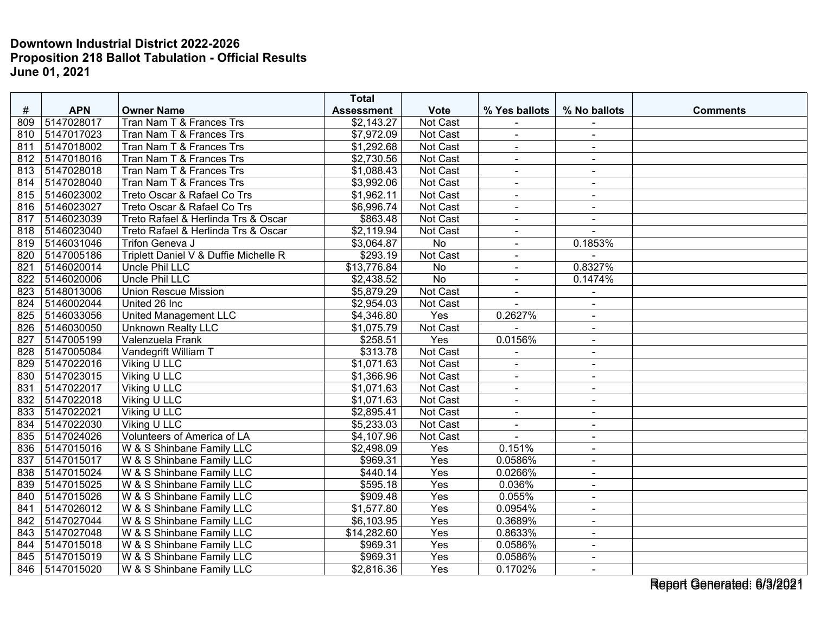|     |                |                                       | <b>Total</b>      |                  |                |                |                 |
|-----|----------------|---------------------------------------|-------------------|------------------|----------------|----------------|-----------------|
| #   | <b>APN</b>     | <b>Owner Name</b>                     | <b>Assessment</b> | <b>Vote</b>      | % Yes ballots  | % No ballots   | <b>Comments</b> |
| 809 | 5147028017     | Tran Nam T & Frances Trs              | \$2,143.27        | Not Cast         |                |                |                 |
| 810 | 5147017023     | Tran Nam T & Frances Trs              | \$7,972.09        | <b>Not Cast</b>  | $\blacksquare$ | $\sim$         |                 |
| 811 | 5147018002     | Tran Nam T & Frances Trs              | \$1,292.68        | Not Cast         | $\blacksquare$ | $\blacksquare$ |                 |
| 812 | 5147018016     | Tran Nam T & Frances Trs              | \$2,730.56        | Not Cast         | $\blacksquare$ | $\sim$         |                 |
| 813 | 5147028018     | Tran Nam T & Frances Trs              | \$1,088.43        | Not Cast         | $\blacksquare$ | $\blacksquare$ |                 |
| 814 | 5147028040     | Tran Nam T & Frances Trs              | \$3,992.06        | Not Cast         | $\blacksquare$ | $\sim$         |                 |
| 815 | 5146023002     | Treto Oscar & Rafael Co Trs           | \$1,962.11        | Not Cast         |                | $\sim$         |                 |
| 816 | 5146023027     | Treto Oscar & Rafael Co Trs           | \$6,996.74        | Not Cast         | $\blacksquare$ | $\sim$         |                 |
| 817 | 5146023039     | Treto Rafael & Herlinda Trs & Oscar   | \$863.48          | Not Cast         | $\blacksquare$ | $\sim$         |                 |
| 818 | 5146023040     | Treto Rafael & Herlinda Trs & Oscar   | \$2,119.94        | Not Cast         | $\blacksquare$ | $\sim$         |                 |
| 819 | 5146031046     | Trifon Geneva J                       | \$3,064.87        | <b>No</b>        | $\blacksquare$ | 0.1853%        |                 |
| 820 | 5147005186     | Triplett Daniel V & Duffie Michelle R | \$293.19          | Not Cast         | $\blacksquare$ | $\sim$         |                 |
| 821 | 5146020014     | Uncle Phil LLC                        | \$13,776.84       | <b>No</b>        | $\blacksquare$ | 0.8327%        |                 |
| 822 | 5146020006     | <b>Uncle Phil LLC</b>                 | \$2,438.52        | <b>No</b>        | ÷,             | 0.1474%        |                 |
| 823 | 5148013006     | <b>Union Rescue Mission</b>           | \$5,879.29        | Not Cast         | $\blacksquare$ |                |                 |
| 824 | 5146002044     | United 26 Inc                         | \$2,954.03        | Not Cast         | $\sim$         | $\sim$         |                 |
| 825 | 5146033056     | <b>United Management LLC</b>          | \$4,346.80        | Yes              | 0.2627%        | $\blacksquare$ |                 |
| 826 | 5146030050     | <b>Unknown Realty LLC</b>             | \$1,075.79        | Not Cast         |                | $\blacksquare$ |                 |
| 827 | 5147005199     | Valenzuela Frank                      | \$258.51          | Yes              | 0.0156%        | $\sim$         |                 |
| 828 | 5147005084     | Vandegrift William T                  | \$313.78          | <b>Not Cast</b>  | $\blacksquare$ | $\sim$         |                 |
| 829 | 5147022016     | Viking U LLC                          | \$1,071.63        | Not Cast         | $\blacksquare$ | $\blacksquare$ |                 |
| 830 | 5147023015     | Viking U LLC                          | \$1,366.96        | Not Cast         | $\overline{a}$ | $\sim$         |                 |
| 831 | 5147022017     | Viking U LLC                          | \$1,071.63        | Not Cast         | $\blacksquare$ | $\blacksquare$ |                 |
| 832 | 5147022018     | <b>Viking U LLC</b>                   | \$1,071.63        | Not Cast         | $\blacksquare$ | $\blacksquare$ |                 |
| 833 | 5147022021     | Viking U LLC                          | \$2,895.41        | Not Cast         | $\blacksquare$ | $\blacksquare$ |                 |
| 834 | 5147022030     | Viking U LLC                          | \$5,233.03        | Not Cast         | $\blacksquare$ | $\sim$         |                 |
| 835 | 5147024026     | Volunteers of America of LA           | \$4,107.96        | Not Cast         | $\blacksquare$ | $\blacksquare$ |                 |
| 836 | 5147015016     | W & S Shinbane Family LLC             | \$2,498.09        | Yes              | 0.151%         | $\sim$         |                 |
| 837 | 5147015017     | W & S Shinbane Family LLC             | \$969.31          | Yes              | 0.0586%        | $\sim$         |                 |
| 838 | 5147015024     | W & S Shinbane Family LLC             | \$440.14          | Yes              | 0.0266%        | $\blacksquare$ |                 |
| 839 | 5147015025     | W & S Shinbane Family LLC             | \$595.18          | Yes              | 0.036%         | $\sim$         |                 |
| 840 | 5147015026     | W & S Shinbane Family LLC             | \$909.48          | Yes              | 0.055%         | $\blacksquare$ |                 |
| 841 | 5147026012     | W & S Shinbane Family LLC             | \$1,577.80        | $\overline{Yes}$ | 0.0954%        | $\blacksquare$ |                 |
| 842 | 5147027044     | W & S Shinbane Family LLC             | \$6,103.95        | Yes              | 0.3689%        | $\blacksquare$ |                 |
| 843 | 5147027048     | W & S Shinbane Family LLC             | \$14,282.60       | Yes              | 0.8633%        | $\sim$         |                 |
| 844 | 5147015018     | W & S Shinbane Family LLC             | \$969.31          | Yes              | 0.0586%        | $\blacksquare$ |                 |
| 845 | 5147015019     | W & S Shinbane Family LLC             | \$969.31          | Yes              | 0.0586%        | $\sim$         |                 |
|     | 846 5147015020 | W & S Shinbane Family LLC             | \$2,816.36        | Yes              | 0.1702%        | $\sim$         |                 |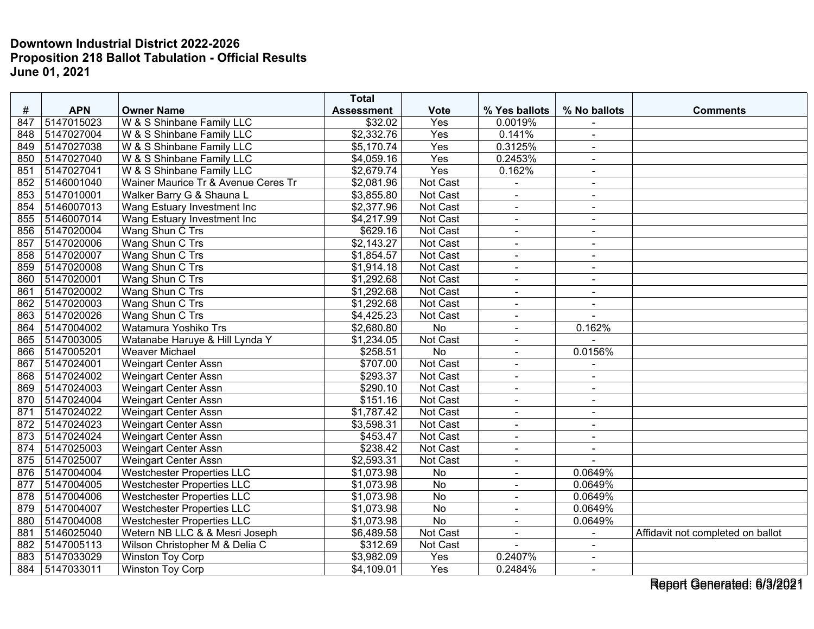|     |            |                                     | <b>Total</b>      |                 |                |                |                                   |
|-----|------------|-------------------------------------|-------------------|-----------------|----------------|----------------|-----------------------------------|
| #   | <b>APN</b> | <b>Owner Name</b>                   | <b>Assessment</b> | <b>Vote</b>     | % Yes ballots  | % No ballots   | <b>Comments</b>                   |
| 847 | 5147015023 | W & S Shinbane Family LLC           | \$32.02           | Yes             | 0.0019%        |                |                                   |
| 848 | 5147027004 | W & S Shinbane Family LLC           | \$2,332.76        | Yes             | 0.141%         | $\blacksquare$ |                                   |
| 849 | 5147027038 | W & S Shinbane Family LLC           | \$5,170.74        | Yes             | 0.3125%        | $\sim$         |                                   |
| 850 | 5147027040 | W & S Shinbane Family LLC           | \$4,059.16        | Yes             | 0.2453%        | $\blacksquare$ |                                   |
| 851 | 5147027041 | W & S Shinbane Family LLC           | \$2,679.74        | Yes             | 0.162%         | $\sim$         |                                   |
| 852 | 5146001040 | Wainer Maurice Tr & Avenue Ceres Tr | \$2,081.96        | Not Cast        | ÷,             | $\blacksquare$ |                                   |
| 853 | 5147010001 | Walker Barry G & Shauna L           | \$3,855.80        | Not Cast        | $\blacksquare$ | $\blacksquare$ |                                   |
| 854 | 5146007013 | Wang Estuary Investment Inc         | \$2,377.96        | <b>Not Cast</b> | $\blacksquare$ | $\sim$         |                                   |
| 855 | 5146007014 | Wang Estuary Investment Inc         | \$4,217.99        | Not Cast        | $\blacksquare$ | $\sim$         |                                   |
| 856 | 5147020004 | Wang Shun C Trs                     | \$629.16          | Not Cast        | $\blacksquare$ | $\sim$         |                                   |
| 857 | 5147020006 | Wang Shun C Trs                     | \$2,143.27        | Not Cast        | $\blacksquare$ |                |                                   |
| 858 | 5147020007 | Wang Shun C Trs                     | \$1,854.57        | Not Cast        | $\blacksquare$ | $\blacksquare$ |                                   |
| 859 | 5147020008 | Wang Shun C Trs                     | \$1,914.18        | Not Cast        | $\blacksquare$ | $\sim$         |                                   |
| 860 | 5147020001 | Wang Shun C Trs                     | \$1,292.68        | Not Cast        | $\blacksquare$ | $\blacksquare$ |                                   |
| 861 | 5147020002 | Wang Shun C Trs                     | \$1,292.68        | Not Cast        | $\blacksquare$ | $\sim$         |                                   |
| 862 | 5147020003 | Wang Shun C Trs                     | \$1,292.68        | Not Cast        | $\blacksquare$ | $\sim$         |                                   |
| 863 | 5147020026 | Wang Shun C Trs                     | \$4,425.23        | Not Cast        | $\blacksquare$ |                |                                   |
| 864 | 5147004002 | Watamura Yoshiko Trs                | \$2,680.80        | $\overline{No}$ | $\blacksquare$ | 0.162%         |                                   |
| 865 | 5147003005 | Watanabe Haruye & Hill Lynda Y      | \$1,234.05        | Not Cast        | $\blacksquare$ | $\overline{a}$ |                                   |
| 866 | 5147005201 | <b>Weaver Michael</b>               | \$258.51          | No              | $\blacksquare$ | 0.0156%        |                                   |
| 867 | 5147024001 | <b>Weingart Center Assn</b>         | \$707.00          | Not Cast        |                |                |                                   |
| 868 | 5147024002 | <b>Weingart Center Assn</b>         | \$293.37          | Not Cast        | $\sim$         | $\sim$         |                                   |
| 869 | 5147024003 | <b>Weingart Center Assn</b>         | \$290.10          | Not Cast        | $\blacksquare$ | $\sim$         |                                   |
| 870 | 5147024004 | <b>Weingart Center Assn</b>         | \$151.16          | Not Cast        | $\blacksquare$ | $\blacksquare$ |                                   |
| 871 | 5147024022 | <b>Weingart Center Assn</b>         | \$1,787.42        | Not Cast        | $\blacksquare$ | $\blacksquare$ |                                   |
| 872 | 5147024023 | Weingart Center Assn                | \$3,598.31        | Not Cast        | $\blacksquare$ | $\blacksquare$ |                                   |
| 873 | 5147024024 | <b>Weingart Center Assn</b>         | \$453.47          | Not Cast        | $\blacksquare$ | $\blacksquare$ |                                   |
| 874 | 5147025003 | <b>Weingart Center Assn</b>         | \$238.42          | Not Cast        | $\blacksquare$ | $\overline{a}$ |                                   |
| 875 | 5147025007 | Weingart Center Assn                | \$2,593.31        | Not Cast        | $\blacksquare$ |                |                                   |
| 876 | 5147004004 | <b>Westchester Properties LLC</b>   | \$1,073.98        | No              | $\blacksquare$ | 0.0649%        |                                   |
| 877 | 5147004005 | Westchester Properties LLC          | \$1,073.98        | No              | $\blacksquare$ | 0.0649%        |                                   |
| 878 | 5147004006 | <b>Westchester Properties LLC</b>   | \$1,073.98        | No              | $\blacksquare$ | 0.0649%        |                                   |
| 879 | 5147004007 | <b>Westchester Properties LLC</b>   | \$1,073.98        | $\overline{No}$ | $\blacksquare$ | 0.0649%        |                                   |
| 880 | 5147004008 | <b>Westchester Properties LLC</b>   | \$1,073.98        | <b>No</b>       | $\blacksquare$ | 0.0649%        |                                   |
| 881 | 5146025040 | Wetern NB LLC & & Mesri Joseph      | \$6,489.58        | Not Cast        | $\blacksquare$ |                | Affidavit not completed on ballot |
| 882 | 5147005113 | Wilson Christopher M & Delia C      | \$312.69          | Not Cast        | $\overline{a}$ | $\blacksquare$ |                                   |
| 883 | 5147033029 | <b>Winston Toy Corp</b>             | \$3,982.09        | Yes             | 0.2407%        | $\sim$         |                                   |
| 884 | 5147033011 | <b>Winston Toy Corp</b>             | \$4,109.01        | Yes             | 0.2484%        | $\blacksquare$ |                                   |